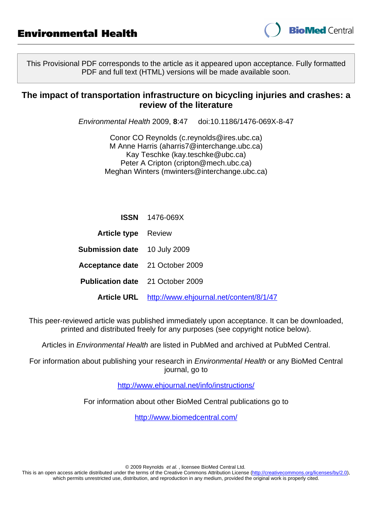

This Provisional PDF corresponds to the article as it appeared upon acceptance. Fully formatted PDF and full text (HTML) versions will be made available soon.

### **The impact of transportation infrastructure on bicycling injuries and crashes: a review of the literature**

Environmental Health 2009, **8**:47 doi:10.1186/1476-069X-8-47

Conor CO Reynolds ([c.reynolds@ires.ubc.ca](mailto:c.reynolds@ires.ubc.ca)) M Anne Harris [\(aharris7@interchange.ubc.ca](mailto:aharris7@interchange.ubc.ca)) Kay Teschke ([kay.teschke@ubc.ca](mailto:kay.teschke@ubc.ca)) Peter A Cripton [\(cripton@mech.ubc.ca](mailto:cripton@mech.ubc.ca)) Meghan Winters [\(mwinters@interchange.ubc.ca\)](mailto:mwinters@interchange.ubc.ca)

|                                         | <b>ISSN</b> 1476-069X                               |
|-----------------------------------------|-----------------------------------------------------|
| <b>Article type</b> Review              |                                                     |
| <b>Submission date</b> 10 July 2009     |                                                     |
| Acceptance date 21 October 2009         |                                                     |
| <b>Publication date</b> 21 October 2009 |                                                     |
|                                         | Article URL http://www.ehjournal.net/content/8/1/47 |

This peer-reviewed article was published immediately upon acceptance. It can be downloaded, printed and distributed freely for any purposes (see copyright notice below).

Articles in Environmental Health are listed in PubMed and archived at PubMed Central.

For information about publishing your research in Environmental Health or any BioMed Central journal, go to

<http://www.ehjournal.net/info/instructions/>

For information about other BioMed Central publications go to

<http://www.biomedcentral.com/>

© 2009 Reynolds et al. , licensee BioMed Central Ltd.

This is an open access article distributed under the terms of the Creative Commons Attribution License [\(http://creativecommons.org/licenses/by/2.0](http://creativecommons.org/licenses/by/2.0)), which permits unrestricted use, distribution, and reproduction in any medium, provided the original work is properly cited.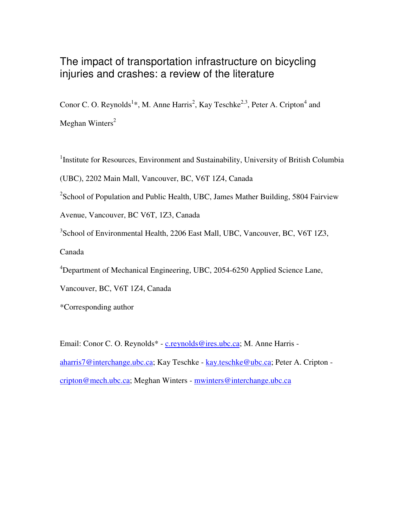# The impact of transportation infrastructure on bicycling injuries and crashes: a review of the literature

Conor C. O. Reynolds<sup>1</sup>\*, M. Anne Harris<sup>2</sup>, Kay Teschke<sup>2,3</sup>, Peter A. Cripton<sup>4</sup> and Meghan Winters<sup>2</sup>

<sup>1</sup>Institute for Resources, Environment and Sustainability, University of British Columbia

(UBC), 2202 Main Mall, Vancouver, BC, V6T 1Z4, Canada

 $2$ School of Population and Public Health, UBC, James Mather Building, 5804 Fairview

Avenue, Vancouver, BC V6T, 1Z3, Canada

<sup>3</sup>School of Environmental Health, 2206 East Mall, UBC, Vancouver, BC, V6T 1Z3, Canada

<sup>4</sup>Department of Mechanical Engineering, UBC, 2054-6250 Applied Science Lane,

Vancouver, BC, V6T 1Z4, Canada

\*Corresponding author

Email: Conor C. O. Reynolds\* - c.reynolds@ires.ubc.ca; M. Anne Harris aharris7@interchange.ubc.ca; Kay Teschke - kay.teschke@ubc.ca; Peter A. Cripton cripton@mech.ubc.ca; Meghan Winters - mwinters@interchange.ubc.ca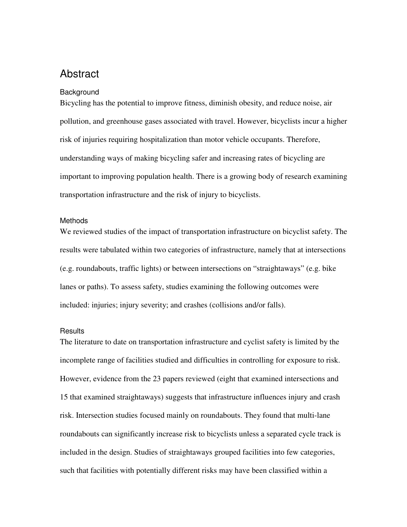## **Abstract**

#### **Background**

Bicycling has the potential to improve fitness, diminish obesity, and reduce noise, air pollution, and greenhouse gases associated with travel. However, bicyclists incur a higher risk of injuries requiring hospitalization than motor vehicle occupants. Therefore, understanding ways of making bicycling safer and increasing rates of bicycling are important to improving population health. There is a growing body of research examining transportation infrastructure and the risk of injury to bicyclists.

#### Methods

We reviewed studies of the impact of transportation infrastructure on bicyclist safety. The results were tabulated within two categories of infrastructure, namely that at intersections (e.g. roundabouts, traffic lights) or between intersections on "straightaways" (e.g. bike lanes or paths). To assess safety, studies examining the following outcomes were included: injuries; injury severity; and crashes (collisions and/or falls).

### **Results**

The literature to date on transportation infrastructure and cyclist safety is limited by the incomplete range of facilities studied and difficulties in controlling for exposure to risk. However, evidence from the 23 papers reviewed (eight that examined intersections and 15 that examined straightaways) suggests that infrastructure influences injury and crash risk. Intersection studies focused mainly on roundabouts. They found that multi-lane roundabouts can significantly increase risk to bicyclists unless a separated cycle track is included in the design. Studies of straightaways grouped facilities into few categories, such that facilities with potentially different risks may have been classified within a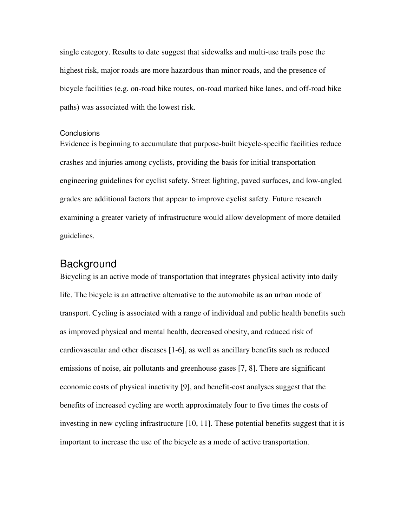single category. Results to date suggest that sidewalks and multi-use trails pose the highest risk, major roads are more hazardous than minor roads, and the presence of bicycle facilities (e.g. on-road bike routes, on-road marked bike lanes, and off-road bike paths) was associated with the lowest risk.

### **Conclusions**

Evidence is beginning to accumulate that purpose-built bicycle-specific facilities reduce crashes and injuries among cyclists, providing the basis for initial transportation engineering guidelines for cyclist safety. Street lighting, paved surfaces, and low-angled grades are additional factors that appear to improve cyclist safety. Future research examining a greater variety of infrastructure would allow development of more detailed guidelines.

### **Background**

Bicycling is an active mode of transportation that integrates physical activity into daily life. The bicycle is an attractive alternative to the automobile as an urban mode of transport. Cycling is associated with a range of individual and public health benefits such as improved physical and mental health, decreased obesity, and reduced risk of cardiovascular and other diseases [1-6], as well as ancillary benefits such as reduced emissions of noise, air pollutants and greenhouse gases [7, 8]. There are significant economic costs of physical inactivity [9], and benefit-cost analyses suggest that the benefits of increased cycling are worth approximately four to five times the costs of investing in new cycling infrastructure [10, 11]. These potential benefits suggest that it is important to increase the use of the bicycle as a mode of active transportation.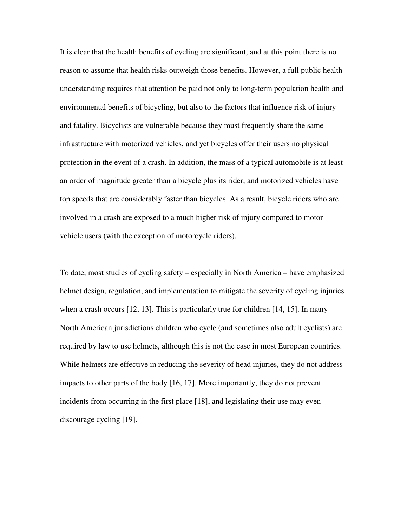It is clear that the health benefits of cycling are significant, and at this point there is no reason to assume that health risks outweigh those benefits. However, a full public health understanding requires that attention be paid not only to long-term population health and environmental benefits of bicycling, but also to the factors that influence risk of injury and fatality. Bicyclists are vulnerable because they must frequently share the same infrastructure with motorized vehicles, and yet bicycles offer their users no physical protection in the event of a crash. In addition, the mass of a typical automobile is at least an order of magnitude greater than a bicycle plus its rider, and motorized vehicles have top speeds that are considerably faster than bicycles. As a result, bicycle riders who are involved in a crash are exposed to a much higher risk of injury compared to motor vehicle users (with the exception of motorcycle riders).

To date, most studies of cycling safety – especially in North America – have emphasized helmet design, regulation, and implementation to mitigate the severity of cycling injuries when a crash occurs [12, 13]. This is particularly true for children [14, 15]. In many North American jurisdictions children who cycle (and sometimes also adult cyclists) are required by law to use helmets, although this is not the case in most European countries. While helmets are effective in reducing the severity of head injuries, they do not address impacts to other parts of the body [16, 17]. More importantly, they do not prevent incidents from occurring in the first place [18], and legislating their use may even discourage cycling [19].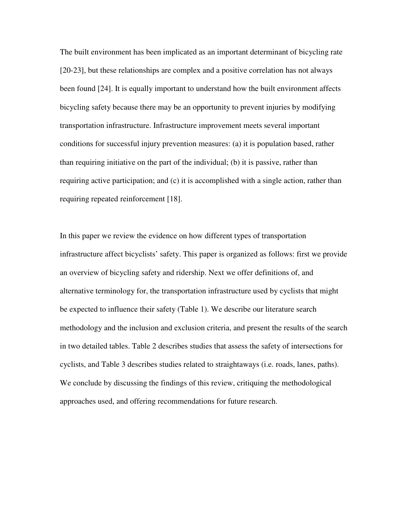The built environment has been implicated as an important determinant of bicycling rate [20-23], but these relationships are complex and a positive correlation has not always been found [24]. It is equally important to understand how the built environment affects bicycling safety because there may be an opportunity to prevent injuries by modifying transportation infrastructure. Infrastructure improvement meets several important conditions for successful injury prevention measures: (a) it is population based, rather than requiring initiative on the part of the individual; (b) it is passive, rather than requiring active participation; and (c) it is accomplished with a single action, rather than requiring repeated reinforcement [18].

In this paper we review the evidence on how different types of transportation infrastructure affect bicyclists' safety. This paper is organized as follows: first we provide an overview of bicycling safety and ridership. Next we offer definitions of, and alternative terminology for, the transportation infrastructure used by cyclists that might be expected to influence their safety (Table 1). We describe our literature search methodology and the inclusion and exclusion criteria, and present the results of the search in two detailed tables. Table 2 describes studies that assess the safety of intersections for cyclists, and Table 3 describes studies related to straightaways (i.e. roads, lanes, paths). We conclude by discussing the findings of this review, critiquing the methodological approaches used, and offering recommendations for future research.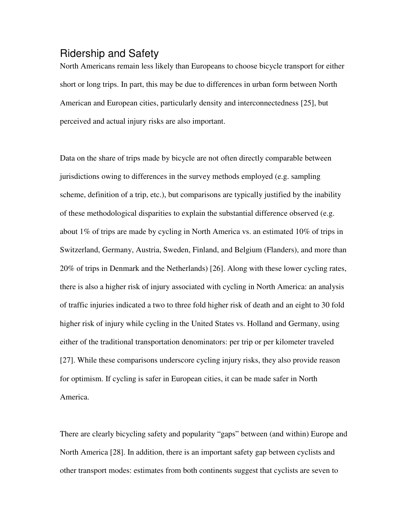## Ridership and Safety

North Americans remain less likely than Europeans to choose bicycle transport for either short or long trips. In part, this may be due to differences in urban form between North American and European cities, particularly density and interconnectedness [25], but perceived and actual injury risks are also important.

Data on the share of trips made by bicycle are not often directly comparable between jurisdictions owing to differences in the survey methods employed (e.g. sampling scheme, definition of a trip, etc.), but comparisons are typically justified by the inability of these methodological disparities to explain the substantial difference observed (e.g. about 1% of trips are made by cycling in North America vs. an estimated 10% of trips in Switzerland, Germany, Austria, Sweden, Finland, and Belgium (Flanders), and more than 20% of trips in Denmark and the Netherlands) [26]. Along with these lower cycling rates, there is also a higher risk of injury associated with cycling in North America: an analysis of traffic injuries indicated a two to three fold higher risk of death and an eight to 30 fold higher risk of injury while cycling in the United States vs. Holland and Germany, using either of the traditional transportation denominators: per trip or per kilometer traveled [27]. While these comparisons underscore cycling injury risks, they also provide reason for optimism. If cycling is safer in European cities, it can be made safer in North America.

There are clearly bicycling safety and popularity "gaps" between (and within) Europe and North America [28]. In addition, there is an important safety gap between cyclists and other transport modes: estimates from both continents suggest that cyclists are seven to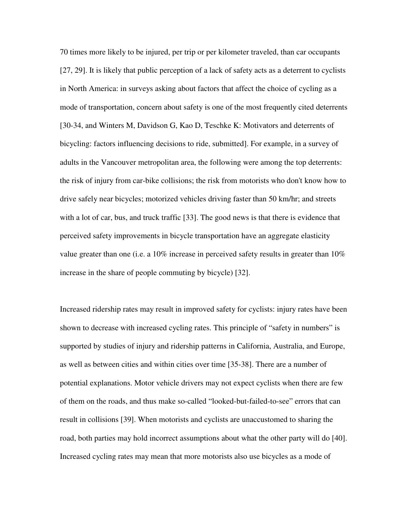70 times more likely to be injured, per trip or per kilometer traveled, than car occupants [27, 29]. It is likely that public perception of a lack of safety acts as a deterrent to cyclists in North America: in surveys asking about factors that affect the choice of cycling as a mode of transportation, concern about safety is one of the most frequently cited deterrents [30-34, and Winters M, Davidson G, Kao D, Teschke K: Motivators and deterrents of bicycling: factors influencing decisions to ride, submitted]. For example, in a survey of adults in the Vancouver metropolitan area, the following were among the top deterrents: the risk of injury from car-bike collisions; the risk from motorists who don't know how to drive safely near bicycles; motorized vehicles driving faster than 50 km/hr; and streets with a lot of car, bus, and truck traffic [33]. The good news is that there is evidence that perceived safety improvements in bicycle transportation have an aggregate elasticity value greater than one (i.e. a 10% increase in perceived safety results in greater than 10% increase in the share of people commuting by bicycle) [32].

Increased ridership rates may result in improved safety for cyclists: injury rates have been shown to decrease with increased cycling rates. This principle of "safety in numbers" is supported by studies of injury and ridership patterns in California, Australia, and Europe, as well as between cities and within cities over time [35-38]. There are a number of potential explanations. Motor vehicle drivers may not expect cyclists when there are few of them on the roads, and thus make so-called "looked-but-failed-to-see" errors that can result in collisions [39]. When motorists and cyclists are unaccustomed to sharing the road, both parties may hold incorrect assumptions about what the other party will do [40]. Increased cycling rates may mean that more motorists also use bicycles as a mode of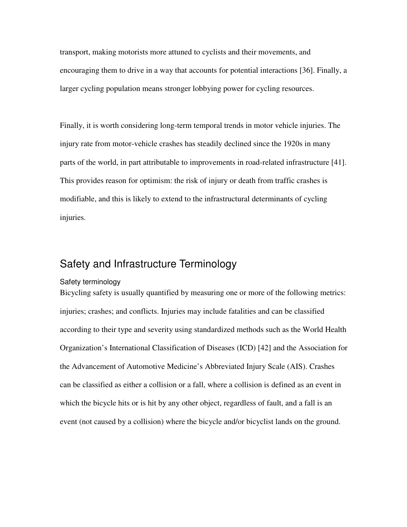transport, making motorists more attuned to cyclists and their movements, and encouraging them to drive in a way that accounts for potential interactions [36]. Finally, a larger cycling population means stronger lobbying power for cycling resources.

Finally, it is worth considering long-term temporal trends in motor vehicle injuries. The injury rate from motor-vehicle crashes has steadily declined since the 1920s in many parts of the world, in part attributable to improvements in road-related infrastructure [41]. This provides reason for optimism: the risk of injury or death from traffic crashes is modifiable, and this is likely to extend to the infrastructural determinants of cycling injuries.

## Safety and Infrastructure Terminology

#### Safety terminology

Bicycling safety is usually quantified by measuring one or more of the following metrics: injuries; crashes; and conflicts. Injuries may include fatalities and can be classified according to their type and severity using standardized methods such as the World Health Organization's International Classification of Diseases (ICD) [42] and the Association for the Advancement of Automotive Medicine's Abbreviated Injury Scale (AIS). Crashes can be classified as either a collision or a fall, where a collision is defined as an event in which the bicycle hits or is hit by any other object, regardless of fault, and a fall is an event (not caused by a collision) where the bicycle and/or bicyclist lands on the ground.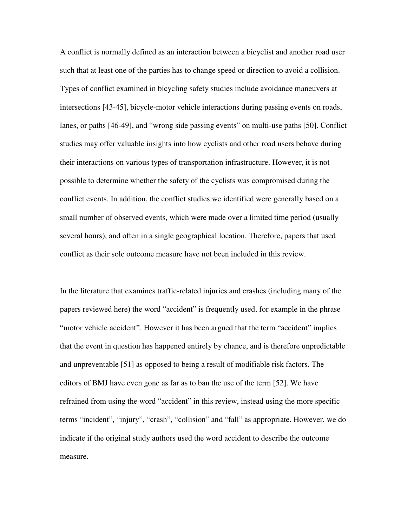A conflict is normally defined as an interaction between a bicyclist and another road user such that at least one of the parties has to change speed or direction to avoid a collision. Types of conflict examined in bicycling safety studies include avoidance maneuvers at intersections [43-45], bicycle-motor vehicle interactions during passing events on roads, lanes, or paths [46-49], and "wrong side passing events" on multi-use paths [50]. Conflict studies may offer valuable insights into how cyclists and other road users behave during their interactions on various types of transportation infrastructure. However, it is not possible to determine whether the safety of the cyclists was compromised during the conflict events. In addition, the conflict studies we identified were generally based on a small number of observed events, which were made over a limited time period (usually several hours), and often in a single geographical location. Therefore, papers that used conflict as their sole outcome measure have not been included in this review.

In the literature that examines traffic-related injuries and crashes (including many of the papers reviewed here) the word "accident" is frequently used, for example in the phrase "motor vehicle accident". However it has been argued that the term "accident" implies that the event in question has happened entirely by chance, and is therefore unpredictable and unpreventable [51] as opposed to being a result of modifiable risk factors. The editors of BMJ have even gone as far as to ban the use of the term [52]. We have refrained from using the word "accident" in this review, instead using the more specific terms "incident", "injury", "crash", "collision" and "fall" as appropriate. However, we do indicate if the original study authors used the word accident to describe the outcome measure.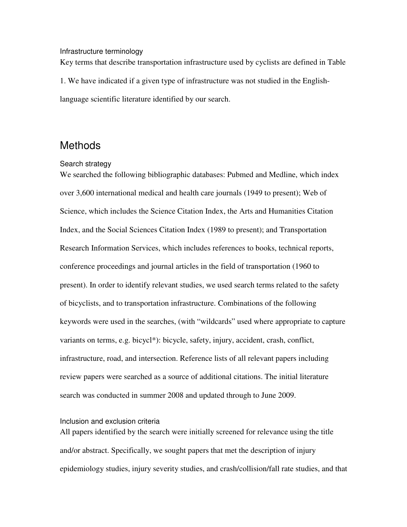#### Infrastructure terminology

Key terms that describe transportation infrastructure used by cyclists are defined in Table 1. We have indicated if a given type of infrastructure was not studied in the Englishlanguage scientific literature identified by our search.

## **Methods**

#### Search strategy

We searched the following bibliographic databases: Pubmed and Medline, which index over 3,600 international medical and health care journals (1949 to present); Web of Science, which includes the Science Citation Index, the Arts and Humanities Citation Index, and the Social Sciences Citation Index (1989 to present); and Transportation Research Information Services, which includes references to books, technical reports, conference proceedings and journal articles in the field of transportation (1960 to present). In order to identify relevant studies, we used search terms related to the safety of bicyclists, and to transportation infrastructure. Combinations of the following keywords were used in the searches, (with "wildcards" used where appropriate to capture variants on terms, e.g. bicycl\*): bicycle, safety, injury, accident, crash, conflict, infrastructure, road, and intersection. Reference lists of all relevant papers including review papers were searched as a source of additional citations. The initial literature search was conducted in summer 2008 and updated through to June 2009.

#### Inclusion and exclusion criteria

All papers identified by the search were initially screened for relevance using the title and/or abstract. Specifically, we sought papers that met the description of injury epidemiology studies, injury severity studies, and crash/collision/fall rate studies, and that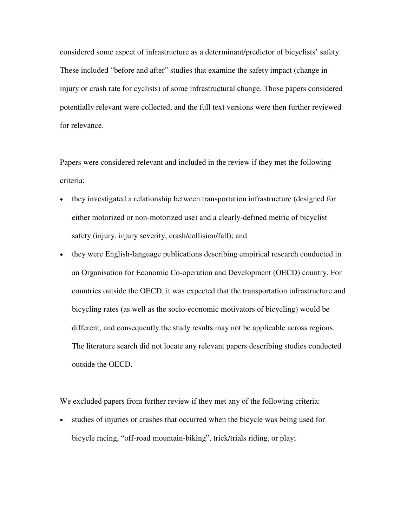considered some aspect of infrastructure as a determinant/predictor of bicyclists' safety. These included "before and after" studies that examine the safety impact (change in injury or crash rate for cyclists) of some infrastructural change. Those papers considered potentially relevant were collected, and the full text versions were then further reviewed for relevance.

Papers were considered relevant and included in the review if they met the following criteria:

- they investigated a relationship between transportation infrastructure (designed for either motorized or non-motorized use) and a clearly-defined metric of bicyclist safety (injury, injury severity, crash/collision/fall); and
- they were English-language publications describing empirical research conducted in an Organisation for Economic Co-operation and Development (OECD) country. For countries outside the OECD, it was expected that the transportation infrastructure and bicycling rates (as well as the socio-economic motivators of bicycling) would be different, and consequently the study results may not be applicable across regions. The literature search did not locate any relevant papers describing studies conducted outside the OECD.

We excluded papers from further review if they met any of the following criteria:

• studies of injuries or crashes that occurred when the bicycle was being used for bicycle racing, "off-road mountain-biking", trick/trials riding, or play;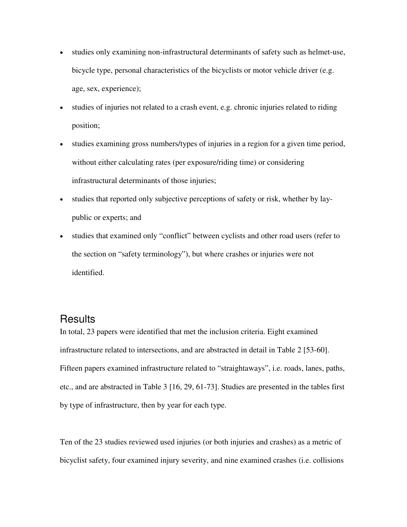- studies only examining non-infrastructural determinants of safety such as helmet-use, bicycle type, personal characteristics of the bicyclists or motor vehicle driver (e.g. age, sex, experience);
- studies of injuries not related to a crash event, e.g. chronic injuries related to riding position;
- studies examining gross numbers/types of injuries in a region for a given time period, without either calculating rates (per exposure/riding time) or considering infrastructural determinants of those injuries;
- studies that reported only subjective perceptions of safety or risk, whether by laypublic or experts; and
- studies that examined only "conflict" between cyclists and other road users (refer to the section on "safety terminology"), but where crashes or injuries were not identified.

### Results

In total, 23 papers were identified that met the inclusion criteria. Eight examined infrastructure related to intersections, and are abstracted in detail in Table 2 [53-60]. Fifteen papers examined infrastructure related to "straightaways", i.e. roads, lanes, paths, etc., and are abstracted in Table 3 [16, 29, 61-73]. Studies are presented in the tables first by type of infrastructure, then by year for each type.

Ten of the 23 studies reviewed used injuries (or both injuries and crashes) as a metric of bicyclist safety, four examined injury severity, and nine examined crashes (i.e. collisions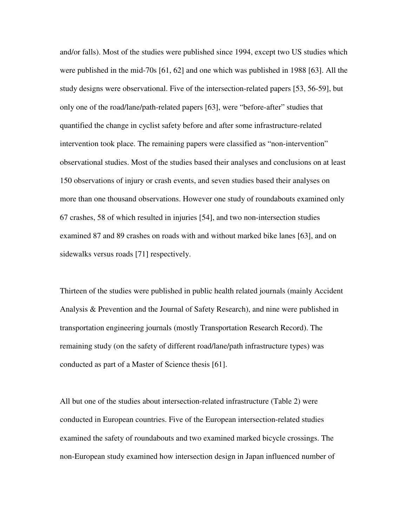and/or falls). Most of the studies were published since 1994, except two US studies which were published in the mid-70s [61, 62] and one which was published in 1988 [63]. All the study designs were observational. Five of the intersection-related papers [53, 56-59], but only one of the road/lane/path-related papers [63], were "before-after" studies that quantified the change in cyclist safety before and after some infrastructure-related intervention took place. The remaining papers were classified as "non-intervention" observational studies. Most of the studies based their analyses and conclusions on at least 150 observations of injury or crash events, and seven studies based their analyses on more than one thousand observations. However one study of roundabouts examined only 67 crashes, 58 of which resulted in injuries [54], and two non-intersection studies examined 87 and 89 crashes on roads with and without marked bike lanes [63], and on sidewalks versus roads [71] respectively.

Thirteen of the studies were published in public health related journals (mainly Accident Analysis & Prevention and the Journal of Safety Research), and nine were published in transportation engineering journals (mostly Transportation Research Record). The remaining study (on the safety of different road/lane/path infrastructure types) was conducted as part of a Master of Science thesis [61].

All but one of the studies about intersection-related infrastructure (Table 2) were conducted in European countries. Five of the European intersection-related studies examined the safety of roundabouts and two examined marked bicycle crossings. The non-European study examined how intersection design in Japan influenced number of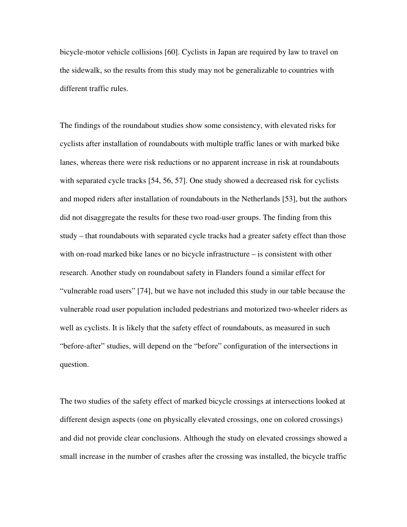bicycle-motor vehicle collisions [60]. Cyclists in Japan are required by law to travel on the sidewalk, so the results from this study may not be generalizable to countries with different traffic rules.

The findings of the roundabout studies show some consistency, with elevated risks for cyclists after installation of roundabouts with multiple traffic lanes or with marked bike lanes, whereas there were risk reductions or no apparent increase in risk at roundabouts with separated cycle tracks [54, 56, 57]. One study showed a decreased risk for cyclists and moped riders after installation of roundabouts in the Netherlands [53], but the authors did not disaggregate the results for these two road-user groups. The finding from this study – that roundabouts with separated cycle tracks had a greater safety effect than those with on-road marked bike lanes or no bicycle infrastructure – is consistent with other research. Another study on roundabout safety in Flanders found a similar effect for "vulnerable road users" [74], but we have not included this study in our table because the vulnerable road user population included pedestrians and motorized two-wheeler riders as well as cyclists. It is likely that the safety effect of roundabouts, as measured in such "before-after" studies, will depend on the "before" configuration of the intersections in question.

The two studies of the safety effect of marked bicycle crossings at intersections looked at different design aspects (one on physically elevated crossings, one on colored crossings) and did not provide clear conclusions. Although the study on elevated crossings showed a small increase in the number of crashes after the crossing was installed, the bicycle traffic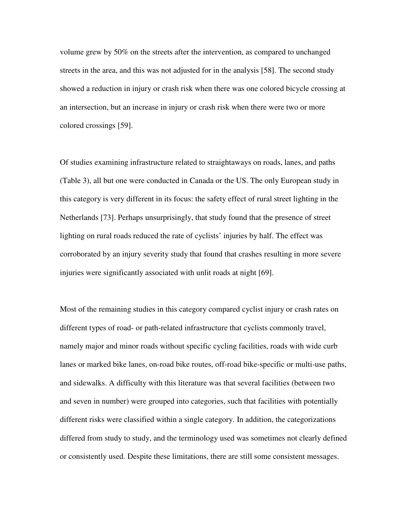volume grew by 50% on the streets after the intervention, as compared to unchanged streets in the area, and this was not adjusted for in the analysis [58]. The second study showed a reduction in injury or crash risk when there was one colored bicycle crossing at an intersection, but an increase in injury or crash risk when there were two or more colored crossings [59].

Of studies examining infrastructure related to straightaways on roads, lanes, and paths (Table 3), all but one were conducted in Canada or the US. The only European study in this category is very different in its focus: the safety effect of rural street lighting in the Netherlands [73]. Perhaps unsurprisingly, that study found that the presence of street lighting on rural roads reduced the rate of cyclists' injuries by half. The effect was corroborated by an injury severity study that found that crashes resulting in more severe injuries were significantly associated with unlit roads at night [69].

Most of the remaining studies in this category compared cyclist injury or crash rates on different types of road- or path-related infrastructure that cyclists commonly travel, namely major and minor roads without specific cycling facilities, roads with wide curb lanes or marked bike lanes, on-road bike routes, off-road bike-specific or multi-use paths, and sidewalks. A difficulty with this literature was that several facilities (between two and seven in number) were grouped into categories, such that facilities with potentially different risks were classified within a single category. In addition, the categorizations differed from study to study, and the terminology used was sometimes not clearly defined or consistently used. Despite these limitations, there are still some consistent messages.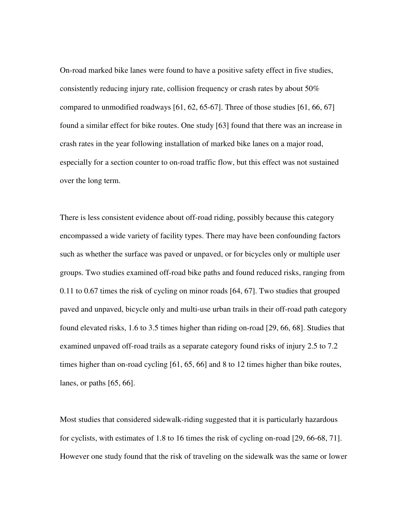On-road marked bike lanes were found to have a positive safety effect in five studies, consistently reducing injury rate, collision frequency or crash rates by about 50% compared to unmodified roadways [61, 62, 65-67]. Three of those studies [61, 66, 67] found a similar effect for bike routes. One study [63] found that there was an increase in crash rates in the year following installation of marked bike lanes on a major road, especially for a section counter to on-road traffic flow, but this effect was not sustained over the long term.

There is less consistent evidence about off-road riding, possibly because this category encompassed a wide variety of facility types. There may have been confounding factors such as whether the surface was paved or unpaved, or for bicycles only or multiple user groups. Two studies examined off-road bike paths and found reduced risks, ranging from 0.11 to 0.67 times the risk of cycling on minor roads [64, 67]. Two studies that grouped paved and unpaved, bicycle only and multi-use urban trails in their off-road path category found elevated risks, 1.6 to 3.5 times higher than riding on-road [29, 66, 68]. Studies that examined unpaved off-road trails as a separate category found risks of injury 2.5 to 7.2 times higher than on-road cycling [61, 65, 66] and 8 to 12 times higher than bike routes, lanes, or paths [65, 66].

Most studies that considered sidewalk-riding suggested that it is particularly hazardous for cyclists, with estimates of 1.8 to 16 times the risk of cycling on-road [29, 66-68, 71]. However one study found that the risk of traveling on the sidewalk was the same or lower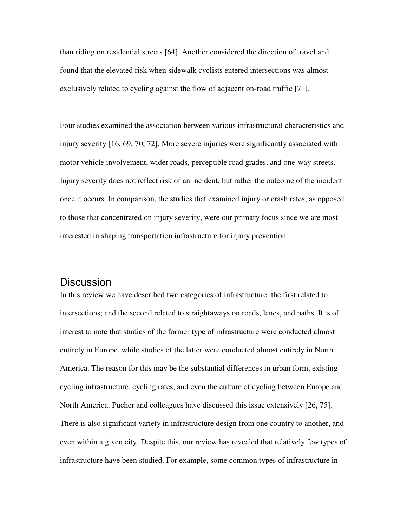than riding on residential streets [64]. Another considered the direction of travel and found that the elevated risk when sidewalk cyclists entered intersections was almost exclusively related to cycling against the flow of adjacent on-road traffic [71].

Four studies examined the association between various infrastructural characteristics and injury severity [16, 69, 70, 72]. More severe injuries were significantly associated with motor vehicle involvement, wider roads, perceptible road grades, and one-way streets. Injury severity does not reflect risk of an incident, but rather the outcome of the incident once it occurs. In comparison, the studies that examined injury or crash rates, as opposed to those that concentrated on injury severity, were our primary focus since we are most interested in shaping transportation infrastructure for injury prevention.

### **Discussion**

In this review we have described two categories of infrastructure: the first related to intersections; and the second related to straightaways on roads, lanes, and paths. It is of interest to note that studies of the former type of infrastructure were conducted almost entirely in Europe, while studies of the latter were conducted almost entirely in North America. The reason for this may be the substantial differences in urban form, existing cycling infrastructure, cycling rates, and even the culture of cycling between Europe and North America. Pucher and colleagues have discussed this issue extensively [26, 75]. There is also significant variety in infrastructure design from one country to another, and even within a given city. Despite this, our review has revealed that relatively few types of infrastructure have been studied. For example, some common types of infrastructure in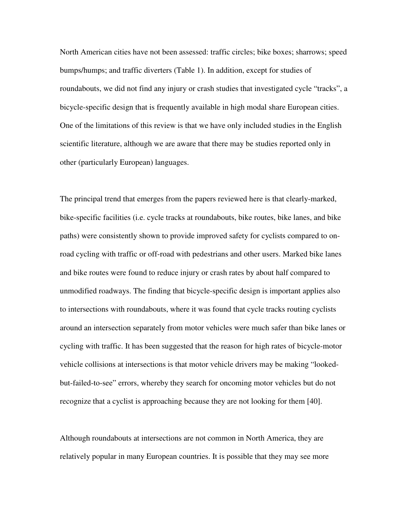North American cities have not been assessed: traffic circles; bike boxes; sharrows; speed bumps/humps; and traffic diverters (Table 1). In addition, except for studies of roundabouts, we did not find any injury or crash studies that investigated cycle "tracks", a bicycle-specific design that is frequently available in high modal share European cities. One of the limitations of this review is that we have only included studies in the English scientific literature, although we are aware that there may be studies reported only in other (particularly European) languages.

The principal trend that emerges from the papers reviewed here is that clearly-marked, bike-specific facilities (i.e. cycle tracks at roundabouts, bike routes, bike lanes, and bike paths) were consistently shown to provide improved safety for cyclists compared to onroad cycling with traffic or off-road with pedestrians and other users. Marked bike lanes and bike routes were found to reduce injury or crash rates by about half compared to unmodified roadways. The finding that bicycle-specific design is important applies also to intersections with roundabouts, where it was found that cycle tracks routing cyclists around an intersection separately from motor vehicles were much safer than bike lanes or cycling with traffic. It has been suggested that the reason for high rates of bicycle-motor vehicle collisions at intersections is that motor vehicle drivers may be making "lookedbut-failed-to-see" errors, whereby they search for oncoming motor vehicles but do not recognize that a cyclist is approaching because they are not looking for them [40].

Although roundabouts at intersections are not common in North America, they are relatively popular in many European countries. It is possible that they may see more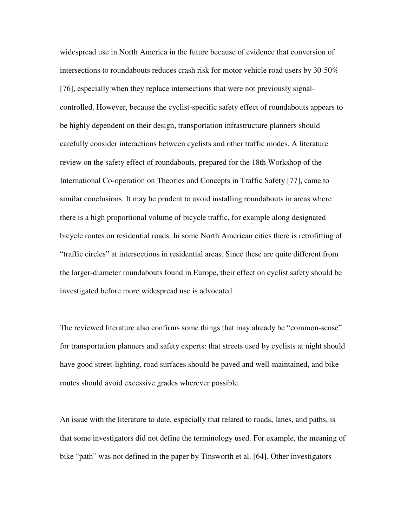widespread use in North America in the future because of evidence that conversion of intersections to roundabouts reduces crash risk for motor vehicle road users by 30-50% [76], especially when they replace intersections that were not previously signalcontrolled. However, because the cyclist-specific safety effect of roundabouts appears to be highly dependent on their design, transportation infrastructure planners should carefully consider interactions between cyclists and other traffic modes. A literature review on the safety effect of roundabouts, prepared for the 18th Workshop of the International Co-operation on Theories and Concepts in Traffic Safety [77], came to similar conclusions. It may be prudent to avoid installing roundabouts in areas where there is a high proportional volume of bicycle traffic, for example along designated bicycle routes on residential roads. In some North American cities there is retrofitting of "traffic circles" at intersections in residential areas. Since these are quite different from the larger-diameter roundabouts found in Europe, their effect on cyclist safety should be investigated before more widespread use is advocated.

The reviewed literature also confirms some things that may already be "common-sense" for transportation planners and safety experts: that streets used by cyclists at night should have good street-lighting, road surfaces should be paved and well-maintained, and bike routes should avoid excessive grades wherever possible.

An issue with the literature to date, especially that related to roads, lanes, and paths, is that some investigators did not define the terminology used. For example, the meaning of bike "path" was not defined in the paper by Tinsworth et al. [64]. Other investigators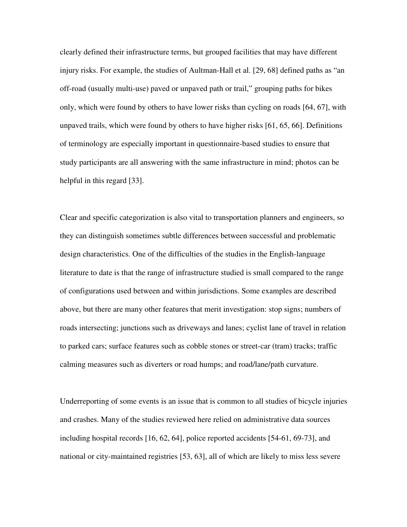clearly defined their infrastructure terms, but grouped facilities that may have different injury risks. For example, the studies of Aultman-Hall et al. [29, 68] defined paths as "an off-road (usually multi-use) paved or unpaved path or trail," grouping paths for bikes only, which were found by others to have lower risks than cycling on roads [64, 67], with unpaved trails, which were found by others to have higher risks [61, 65, 66]. Definitions of terminology are especially important in questionnaire-based studies to ensure that study participants are all answering with the same infrastructure in mind; photos can be helpful in this regard [33].

Clear and specific categorization is also vital to transportation planners and engineers, so they can distinguish sometimes subtle differences between successful and problematic design characteristics. One of the difficulties of the studies in the English-language literature to date is that the range of infrastructure studied is small compared to the range of configurations used between and within jurisdictions. Some examples are described above, but there are many other features that merit investigation: stop signs; numbers of roads intersecting; junctions such as driveways and lanes; cyclist lane of travel in relation to parked cars; surface features such as cobble stones or street-car (tram) tracks; traffic calming measures such as diverters or road humps; and road/lane/path curvature.

Underreporting of some events is an issue that is common to all studies of bicycle injuries and crashes. Many of the studies reviewed here relied on administrative data sources including hospital records [16, 62, 64], police reported accidents [54-61, 69-73], and national or city-maintained registries [53, 63], all of which are likely to miss less severe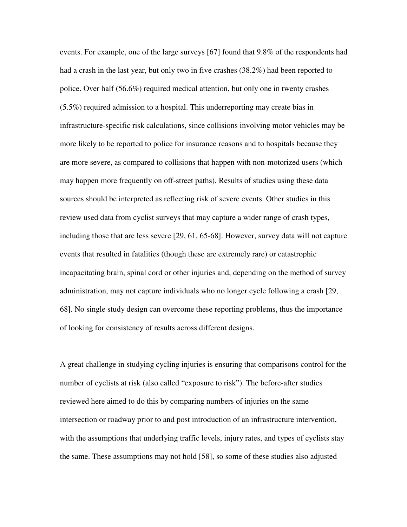events. For example, one of the large surveys [67] found that 9.8% of the respondents had had a crash in the last year, but only two in five crashes (38.2%) had been reported to police. Over half (56.6%) required medical attention, but only one in twenty crashes (5.5%) required admission to a hospital. This underreporting may create bias in infrastructure-specific risk calculations, since collisions involving motor vehicles may be more likely to be reported to police for insurance reasons and to hospitals because they are more severe, as compared to collisions that happen with non-motorized users (which may happen more frequently on off-street paths). Results of studies using these data sources should be interpreted as reflecting risk of severe events. Other studies in this review used data from cyclist surveys that may capture a wider range of crash types, including those that are less severe [29, 61, 65-68]. However, survey data will not capture events that resulted in fatalities (though these are extremely rare) or catastrophic incapacitating brain, spinal cord or other injuries and, depending on the method of survey administration, may not capture individuals who no longer cycle following a crash [29, 68]. No single study design can overcome these reporting problems, thus the importance of looking for consistency of results across different designs.

A great challenge in studying cycling injuries is ensuring that comparisons control for the number of cyclists at risk (also called "exposure to risk"). The before-after studies reviewed here aimed to do this by comparing numbers of injuries on the same intersection or roadway prior to and post introduction of an infrastructure intervention, with the assumptions that underlying traffic levels, injury rates, and types of cyclists stay the same. These assumptions may not hold [58], so some of these studies also adjusted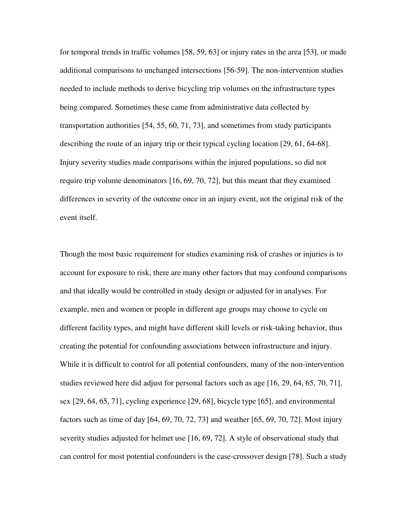for temporal trends in traffic volumes [58, 59, 63] or injury rates in the area [53], or made additional comparisons to unchanged intersections [56-59]. The non-intervention studies needed to include methods to derive bicycling trip volumes on the infrastructure types being compared. Sometimes these came from administrative data collected by transportation authorities [54, 55, 60, 71, 73], and sometimes from study participants describing the route of an injury trip or their typical cycling location [29, 61, 64-68]. Injury severity studies made comparisons within the injured populations, so did not require trip volume denominators [16, 69, 70, 72], but this meant that they examined differences in severity of the outcome once in an injury event, not the original risk of the event itself.

Though the most basic requirement for studies examining risk of crashes or injuries is to account for exposure to risk, there are many other factors that may confound comparisons and that ideally would be controlled in study design or adjusted for in analyses. For example, men and women or people in different age groups may choose to cycle on different facility types, and might have different skill levels or risk-taking behavior, thus creating the potential for confounding associations between infrastructure and injury. While it is difficult to control for all potential confounders, many of the non-intervention studies reviewed here did adjust for personal factors such as age [16, 29, 64, 65, 70, 71], sex [29, 64, 65, 71], cycling experience [29, 68], bicycle type [65], and environmental factors such as time of day [64, 69, 70, 72, 73] and weather [65, 69, 70, 72]. Most injury severity studies adjusted for helmet use [16, 69, 72]. A style of observational study that can control for most potential confounders is the case-crossover design [78]. Such a study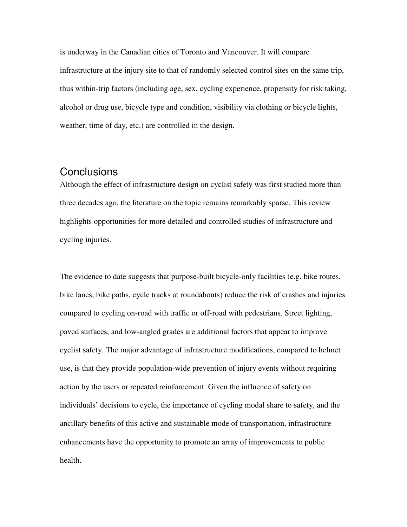is underway in the Canadian cities of Toronto and Vancouver. It will compare infrastructure at the injury site to that of randomly selected control sites on the same trip, thus within-trip factors (including age, sex, cycling experience, propensity for risk taking, alcohol or drug use, bicycle type and condition, visibility via clothing or bicycle lights, weather, time of day, etc.) are controlled in the design.

### **Conclusions**

Although the effect of infrastructure design on cyclist safety was first studied more than three decades ago, the literature on the topic remains remarkably sparse. This review highlights opportunities for more detailed and controlled studies of infrastructure and cycling injuries.

The evidence to date suggests that purpose-built bicycle-only facilities (e.g. bike routes, bike lanes, bike paths, cycle tracks at roundabouts) reduce the risk of crashes and injuries compared to cycling on-road with traffic or off-road with pedestrians. Street lighting, paved surfaces, and low-angled grades are additional factors that appear to improve cyclist safety. The major advantage of infrastructure modifications, compared to helmet use, is that they provide population-wide prevention of injury events without requiring action by the users or repeated reinforcement. Given the influence of safety on individuals' decisions to cycle, the importance of cycling modal share to safety, and the ancillary benefits of this active and sustainable mode of transportation, infrastructure enhancements have the opportunity to promote an array of improvements to public health.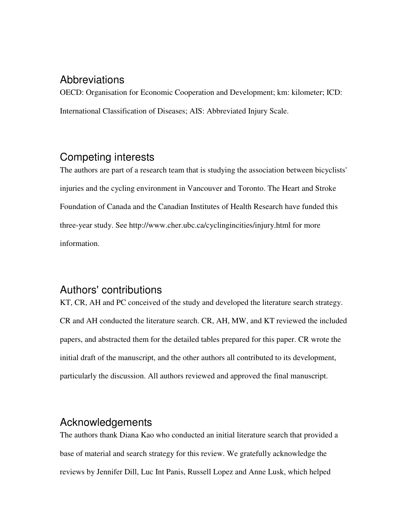## Abbreviations

OECD: Organisation for Economic Cooperation and Development; km: kilometer; ICD: International Classification of Diseases; AIS: Abbreviated Injury Scale.

# Competing interests

The authors are part of a research team that is studying the association between bicyclists' injuries and the cycling environment in Vancouver and Toronto. The Heart and Stroke Foundation of Canada and the Canadian Institutes of Health Research have funded this three-year study. See http://www.cher.ubc.ca/cyclingincities/injury.html for more information.

# Authors' contributions

KT, CR, AH and PC conceived of the study and developed the literature search strategy. CR and AH conducted the literature search. CR, AH, MW, and KT reviewed the included papers, and abstracted them for the detailed tables prepared for this paper. CR wrote the initial draft of the manuscript, and the other authors all contributed to its development, particularly the discussion. All authors reviewed and approved the final manuscript.

# Acknowledgements

The authors thank Diana Kao who conducted an initial literature search that provided a base of material and search strategy for this review. We gratefully acknowledge the reviews by Jennifer Dill, Luc Int Panis, Russell Lopez and Anne Lusk, which helped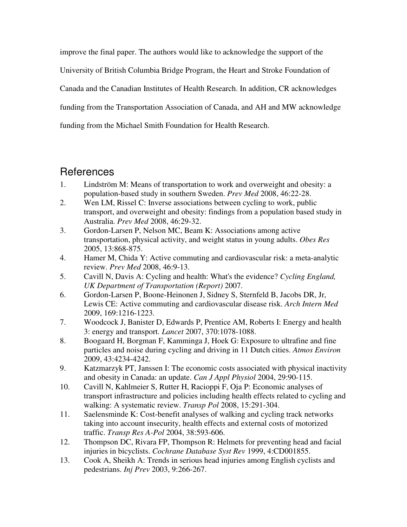improve the final paper. The authors would like to acknowledge the support of the University of British Columbia Bridge Program, the Heart and Stroke Foundation of Canada and the Canadian Institutes of Health Research. In addition, CR acknowledges funding from the Transportation Association of Canada, and AH and MW acknowledge funding from the Michael Smith Foundation for Health Research.

# References

- 1. Lindström M: Means of transportation to work and overweight and obesity: a population-based study in southern Sweden. *Prev Med* 2008, 46:22-28.
- 2. Wen LM, Rissel C: Inverse associations between cycling to work, public transport, and overweight and obesity: findings from a population based study in Australia. *Prev Med* 2008, 46:29-32.
- 3. Gordon-Larsen P, Nelson MC, Beam K: Associations among active transportation, physical activity, and weight status in young adults. *Obes Res*  2005, 13:868-875.
- 4. Hamer M, Chida Y: Active commuting and cardiovascular risk: a meta-analytic review. *Prev Med* 2008, 46:9-13.
- 5. Cavill N, Davis A: Cycling and health: What's the evidence? *Cycling England, UK Department of Transportation (Report)* 2007.
- 6. Gordon-Larsen P, Boone-Heinonen J, Sidney S, Sternfeld B, Jacobs DR, Jr, Lewis CE: Active commuting and cardiovascular disease risk. *Arch Intern Med*  2009, 169:1216-1223.
- 7. Woodcock J, Banister D, Edwards P, Prentice AM, Roberts I: Energy and health 3: energy and transport. *Lancet* 2007, 370:1078-1088.
- 8. Boogaard H, Borgman F, Kamminga J, Hoek G: Exposure to ultrafine and fine particles and noise during cycling and driving in 11 Dutch cities. *Atmos Environ*  2009, 43:4234-4242.
- 9. Katzmarzyk PT, Janssen I: The economic costs associated with physical inactivity and obesity in Canada: an update. *Can J Appl Physiol* 2004, 29:90-115.
- 10. Cavill N, Kahlmeier S, Rutter H, Racioppi F, Oja P: Economic analyses of transport infrastructure and policies including health effects related to cycling and walking: A systematic review. *Transp Pol* 2008, 15:291-304.
- 11. Saelensminde K: Cost-benefit analyses of walking and cycling track networks taking into account insecurity, health effects and external costs of motorized traffic. *Transp Res A-Pol* 2004, 38:593-606.
- 12. Thompson DC, Rivara FP, Thompson R: Helmets for preventing head and facial injuries in bicyclists. *Cochrane Database Syst Rev* 1999, 4:CD001855.
- 13. Cook A, Sheikh A: Trends in serious head injuries among English cyclists and pedestrians. *Inj Prev* 2003, 9:266-267.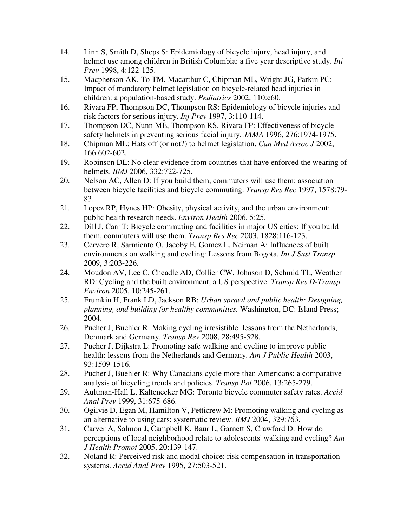- 14. Linn S, Smith D, Sheps S: Epidemiology of bicycle injury, head injury, and helmet use among children in British Columbia: a five year descriptive study. *Inj Prev* 1998, 4:122-125.
- 15. Macpherson AK, To TM, Macarthur C, Chipman ML, Wright JG, Parkin PC: Impact of mandatory helmet legislation on bicycle-related head injuries in children: a population-based study. *Pediatrics* 2002, 110:e60.
- 16. Rivara FP, Thompson DC, Thompson RS: Epidemiology of bicycle injuries and risk factors for serious injury. *Inj Prev* 1997, 3:110-114.
- 17. Thompson DC, Nunn ME, Thompson RS, Rivara FP: Effectiveness of bicycle safety helmets in preventing serious facial injury. *JAMA* 1996, 276:1974-1975.
- 18. Chipman ML: Hats off (or not?) to helmet legislation. *Can Med Assoc J* 2002, 166:602-602.
- 19. Robinson DL: No clear evidence from countries that have enforced the wearing of helmets. *BMJ* 2006, 332:722-725.
- 20. Nelson AC, Allen D: If you build them, commuters will use them: association between bicycle facilities and bicycle commuting. *Transp Res Rec* 1997, 1578:79- 83.
- 21. Lopez RP, Hynes HP: Obesity, physical activity, and the urban environment: public health research needs. *Environ Health* 2006, 5:25.
- 22. Dill J, Carr T: Bicycle commuting and facilities in major US cities: If you build them, commuters will use them. *Transp Res Rec* 2003, 1828:116-123.
- 23. Cervero R, Sarmiento O, Jacoby E, Gomez L, Neiman A: Influences of built environments on walking and cycling: Lessons from Bogota. *Int J Sust Transp*  2009, 3:203-226.
- 24. Moudon AV, Lee C, Cheadle AD, Collier CW, Johnson D, Schmid TL, Weather RD: Cycling and the built environment, a US perspective. *Transp Res D-Transp Environ* 2005, 10:245-261.
- 25. Frumkin H, Frank LD, Jackson RB: *Urban sprawl and public health: Designing, planning, and building for healthy communities.* Washington, DC: Island Press; 2004.
- 26. Pucher J, Buehler R: Making cycling irresistible: lessons from the Netherlands, Denmark and Germany. *Transp Rev* 2008, 28:495-528.
- 27. Pucher J, Dijkstra L: Promoting safe walking and cycling to improve public health: lessons from the Netherlands and Germany. *Am J Public Health* 2003, 93:1509-1516.
- 28. Pucher J, Buehler R: Why Canadians cycle more than Americans: a comparative analysis of bicycling trends and policies. *Transp Pol* 2006, 13:265-279.
- 29. Aultman-Hall L, Kaltenecker MG: Toronto bicycle commuter safety rates. *Accid Anal Prev* 1999, 31:675-686.
- 30. Ogilvie D, Egan M, Hamilton V, Petticrew M: Promoting walking and cycling as an alternative to using cars: systematic review. *BMJ* 2004, 329:763.
- 31. Carver A, Salmon J, Campbell K, Baur L, Garnett S, Crawford D: How do perceptions of local neighborhood relate to adolescents' walking and cycling? *Am J Health Promot* 2005, 20:139-147.
- 32. Noland R: Perceived risk and modal choice: risk compensation in transportation systems. *Accid Anal Prev* 1995, 27:503-521.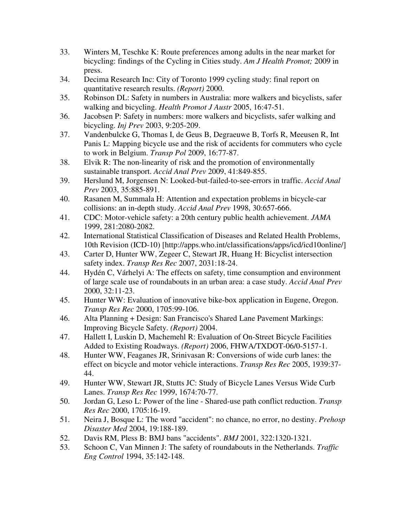- 33. Winters M, Teschke K: Route preferences among adults in the near market for bicycling: findings of the Cycling in Cities study. *Am J Health Promot;* 2009 in press.
- 34. Decima Research Inc: City of Toronto 1999 cycling study: final report on quantitative research results. *(Report)* 2000.
- 35. Robinson DL: Safety in numbers in Australia: more walkers and bicyclists, safer walking and bicycling. *Health Promot J Austr* 2005, 16:47-51.
- 36. Jacobsen P: Safety in numbers: more walkers and bicyclists, safer walking and bicycling. *Inj Prev* 2003, 9:205-209.
- 37. Vandenbulcke G, Thomas I, de Geus B, Degraeuwe B, Torfs R, Meeusen R, Int Panis L: Mapping bicycle use and the risk of accidents for commuters who cycle to work in Belgium. *Transp Pol* 2009, 16:77-87.
- 38. Elvik R: The non-linearity of risk and the promotion of environmentally sustainable transport. *Accid Anal Prev* 2009, 41:849-855.
- 39. Herslund M, Jorgensen N: Looked-but-failed-to-see-errors in traffic. *Accid Anal Prev* 2003, 35:885-891.
- 40. Rasanen M, Summala H: Attention and expectation problems in bicycle-car collisions: an in-depth study. *Accid Anal Prev* 1998, 30:657-666.
- 41. CDC: Motor-vehicle safety: a 20th century public health achievement. *JAMA*  1999, 281:2080-2082.
- 42. International Statistical Classification of Diseases and Related Health Problems, 10th Revision (ICD-10) [http://apps.who.int/classifications/apps/icd/icd10online/]
- 43. Carter D, Hunter WW, Zegeer C, Stewart JR, Huang H: Bicyclist intersection safety index. *Transp Res Rec* 2007, 2031:18-24.
- 44. Hydén C, Várhelyi A: The effects on safety, time consumption and environment of large scale use of roundabouts in an urban area: a case study. *Accid Anal Prev*  2000, 32:11-23.
- 45. Hunter WW: Evaluation of innovative bike-box application in Eugene, Oregon. *Transp Res Rec* 2000, 1705:99-106.
- 46. Alta Planning + Design: San Francisco's Shared Lane Pavement Markings: Improving Bicycle Safety. *(Report)* 2004.
- 47. Hallett I, Luskin D, Machemehl R: Evaluation of On-Street Bicycle Facilities Added to Existing Roadways. *(Report)* 2006, FHWA/TXDOT-06/0-5157-1.
- 48. Hunter WW, Feaganes JR, Srinivasan R: Conversions of wide curb lanes: the effect on bicycle and motor vehicle interactions. *Transp Res Rec* 2005, 1939:37- 44.
- 49. Hunter WW, Stewart JR, Stutts JC: Study of Bicycle Lanes Versus Wide Curb Lanes. *Transp Res Rec* 1999, 1674:70-77.
- 50. Jordan G, Leso L: Power of the line Shared-use path conflict reduction. *Transp Res Rec* 2000, 1705:16-19.
- 51. Neira J, Bosque L: The word "accident": no chance, no error, no destiny. *Prehosp Disaster Med* 2004, 19:188-189.
- 52. Davis RM, Pless B: BMJ bans "accidents". *BMJ* 2001, 322:1320-1321.
- 53. Schoon C, Van Minnen J: The safety of roundabouts in the Netherlands. *Traffic Eng Control* 1994, 35:142-148.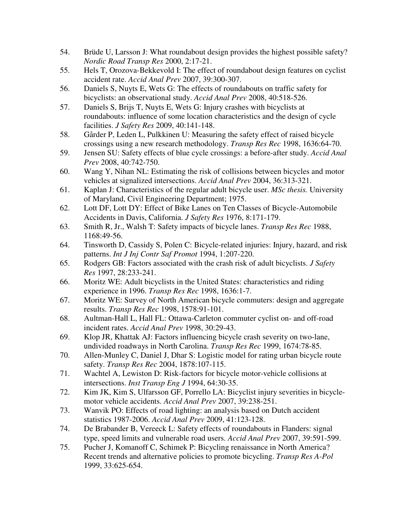- 54. Brüde U, Larsson J: What roundabout design provides the highest possible safety? *Nordic Road Transp Res* 2000, 2:17-21.
- 55. Hels T, Orozova-Bekkevold I: The effect of roundabout design features on cyclist accident rate. *Accid Anal Prev* 2007, 39:300-307.
- 56. Daniels S, Nuyts E, Wets G: The effects of roundabouts on traffic safety for bicyclists: an observational study. *Accid Anal Prev* 2008, 40:518-526.
- 57. Daniels S, Brijs T, Nuyts E, Wets G: Injury crashes with bicyclists at roundabouts: influence of some location characteristics and the design of cycle facilities. *J Safety Res* 2009, 40:141-148.
- 58. Gårder P, Leden L, Pulkkinen U: Measuring the safety effect of raised bicycle crossings using a new research methodology. *Transp Res Rec* 1998, 1636:64-70.
- 59. Jensen SU: Safety effects of blue cycle crossings: a before-after study. *Accid Anal Prev* 2008, 40:742-750.
- 60. Wang Y, Nihan NL: Estimating the risk of collisions between bicycles and motor vehicles at signalized intersections. *Accid Anal Prev* 2004, 36:313-321.
- 61. Kaplan J: Characteristics of the regular adult bicycle user. *MSc thesis.* University of Maryland, Civil Engineering Department; 1975.
- 62. Lott DF, Lott DY: Effect of Bike Lanes on Ten Classes of Bicycle-Automobile Accidents in Davis, California. *J Safety Res* 1976, 8:171-179.
- 63. Smith R, Jr., Walsh T: Safety impacts of bicycle lanes. *Transp Res Rec* 1988, 1168:49-56.
- 64. Tinsworth D, Cassidy S, Polen C: Bicycle-related injuries: Injury, hazard, and risk patterns. *Int J Inj Contr Saf Promot* 1994, 1:207-220.
- 65. Rodgers GB: Factors associated with the crash risk of adult bicyclists. *J Safety Res* 1997, 28:233-241.
- 66. Moritz WE: Adult bicyclists in the United States: characteristics and riding experience in 1996. *Transp Res Rec* 1998, 1636:1-7.
- 67. Moritz WE: Survey of North American bicycle commuters: design and aggregate results. *Transp Res Rec* 1998, 1578:91-101.
- 68. Aultman-Hall L, Hall FL: Ottawa-Carleton commuter cyclist on- and off-road incident rates. *Accid Anal Prev* 1998, 30:29-43.
- 69. Klop JR, Khattak AJ: Factors influencing bicycle crash severity on two-lane, undivided roadways in North Carolina. *Transp Res Rec* 1999, 1674:78-85.
- 70. Allen-Munley C, Daniel J, Dhar S: Logistic model for rating urban bicycle route safety. *Transp Res Rec* 2004, 1878:107-115.
- 71. Wachtel A, Lewiston D: Risk-factors for bicycle motor-vehicle collisions at intersections. *Inst Transp Eng J* 1994, 64:30-35.
- 72. Kim JK, Kim S, Ulfarsson GF, Porrello LA: Bicyclist injury severities in bicyclemotor vehicle accidents. *Accid Anal Prev* 2007, 39:238-251.
- 73. Wanvik PO: Effects of road lighting: an analysis based on Dutch accident statistics 1987-2006. *Accid Anal Prev* 2009, 41:123-128.
- 74. De Brabander B, Vereeck L: Safety effects of roundabouts in Flanders: signal type, speed limits and vulnerable road users. *Accid Anal Prev* 2007, 39:591-599.
- 75. Pucher J, Komanoff C, Schimek P: Bicycling renaissance in North America? Recent trends and alternative policies to promote bicycling. *Transp Res A-Pol*  1999, 33:625-654.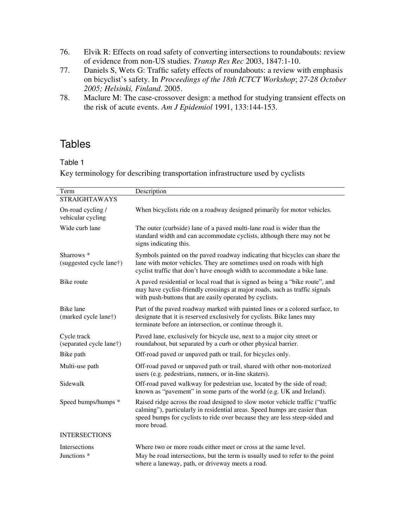- 76. Elvik R: Effects on road safety of converting intersections to roundabouts: review of evidence from non-US studies. *Transp Res Rec* 2003, 1847:1-10.
- 77. Daniels S, Wets G: Traffic safety effects of roundabouts: a review with emphasis on bicyclist's safety. In *Proceedings of the 18th ICTCT Workshop*; *27-28 October 2005; Helsinki, Finland*. 2005.
- 78. Maclure M: The case-crossover design: a method for studying transient effects on the risk of acute events. *Am J Epidemiol* 1991, 133:144-153.

# **Tables**

### Table 1

Key terminology for describing transportation infrastructure used by cyclists

| Term                                                  | Description                                                                                                                                                                                                                                              |
|-------------------------------------------------------|----------------------------------------------------------------------------------------------------------------------------------------------------------------------------------------------------------------------------------------------------------|
| <b>STRAIGHTAWAYS</b>                                  |                                                                                                                                                                                                                                                          |
| On-road cycling /<br>vehicular cycling                | When bicyclists ride on a roadway designed primarily for motor vehicles.                                                                                                                                                                                 |
| Wide curb lane                                        | The outer (curbside) lane of a paved multi-lane road is wider than the<br>standard width and can accommodate cyclists, although there may not be<br>signs indicating this.                                                                               |
| Sharrows <sup>*</sup><br>(suggested cycle lane†)      | Symbols painted on the paved roadway indicating that bicycles can share the<br>lane with motor vehicles. They are sometimes used on roads with high<br>cyclist traffic that don't have enough width to accommodate a bike lane.                          |
| Bike route                                            | A paved residential or local road that is signed as being a "bike route", and<br>may have cyclist-friendly crossings at major roads, such as traffic signals<br>with push-buttons that are easily operated by cyclists.                                  |
| <b>Bike</b> lane<br>(marked cycle lane <sup>†</sup> ) | Part of the paved roadway marked with painted lines or a colored surface, to<br>designate that it is reserved exclusively for cyclists. Bike lanes may<br>terminate before an intersection, or continue through it.                                      |
| Cycle track<br>(separated cycle lane <sup>†</sup> )   | Paved lane, exclusively for bicycle use, next to a major city street or<br>roundabout, but separated by a curb or other physical barrier.                                                                                                                |
| Bike path                                             | Off-road paved or unpaved path or trail, for bicycles only.                                                                                                                                                                                              |
| Multi-use path                                        | Off-road paved or unpaved path or trail, shared with other non-motorized<br>users (e.g. pedestrians, runners, or in-line skaters).                                                                                                                       |
| Sidewalk                                              | Off-road paved walkway for pedestrian use, located by the side of road;<br>known as "pavement" in some parts of the world (e.g. UK and Ireland).                                                                                                         |
| Speed bumps/humps *                                   | Raised ridge across the road designed to slow motor vehicle traffic ("traffic<br>calming"), particularly in residential areas. Speed humps are easier than<br>speed bumps for cyclists to ride over because they are less steep-sided and<br>more broad. |
| <b>INTERSECTIONS</b>                                  |                                                                                                                                                                                                                                                          |
| <b>Intersections</b>                                  | Where two or more roads either meet or cross at the same level.                                                                                                                                                                                          |
| Junctions <sup>*</sup>                                | May be road intersections, but the term is usually used to refer to the point<br>where a laneway, path, or driveway meets a road.                                                                                                                        |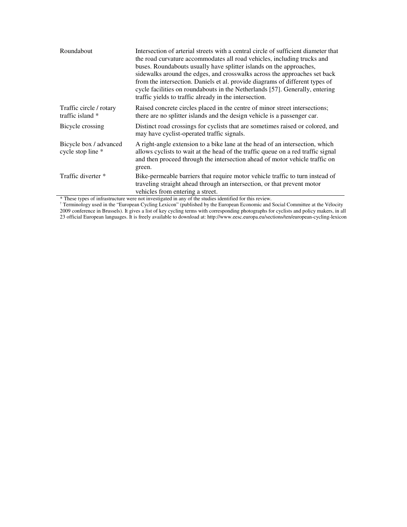| Roundabout                                  | Intersection of arterial streets with a central circle of sufficient diameter that<br>the road curvature accommodates all road vehicles, including trucks and<br>buses. Roundabouts usually have splitter islands on the approaches,<br>sidewalks around the edges, and crosswalks across the approaches set back<br>from the intersection. Daniels et al. provide diagrams of different types of<br>cycle facilities on roundabouts in the Netherlands [57]. Generally, entering<br>traffic yields to traffic already in the intersection. |
|---------------------------------------------|---------------------------------------------------------------------------------------------------------------------------------------------------------------------------------------------------------------------------------------------------------------------------------------------------------------------------------------------------------------------------------------------------------------------------------------------------------------------------------------------------------------------------------------------|
| Traffic circle / rotary<br>traffic island * | Raised concrete circles placed in the centre of minor street intersections;<br>there are no splitter islands and the design vehicle is a passenger car.                                                                                                                                                                                                                                                                                                                                                                                     |
| Bicycle crossing                            | Distinct road crossings for cyclists that are sometimes raised or colored, and<br>may have cyclist-operated traffic signals.                                                                                                                                                                                                                                                                                                                                                                                                                |
| Bicycle box / advanced<br>cycle stop line * | A right-angle extension to a bike lane at the head of an intersection, which<br>allows cyclists to wait at the head of the traffic queue on a red traffic signal<br>and then proceed through the intersection ahead of motor vehicle traffic on<br>green.                                                                                                                                                                                                                                                                                   |
| Traffic diverter *                          | Bike-permeable barriers that require motor vehicle traffic to turn instead of<br>traveling straight ahead through an intersection, or that prevent motor<br>vehicles from entering a street.<br>* These truce of infusturative were not investigated in ony of the studies identified for this period                                                                                                                                                                                                                                       |

\* These types of infrastructure were not investigated in any of the studies identified for this review.<br>† Terminology used in the "European Cycling Lexicon" (published by the European Economic and Social Committee at the V 2009 conference in Brussels). It gives a list of key cycling terms with corresponding photographs for cyclists and policy makers, in all 23 official European languages. It is freely available to download at: http://www.eesc.europa.eu/sections/ten/european-cycling-lexicon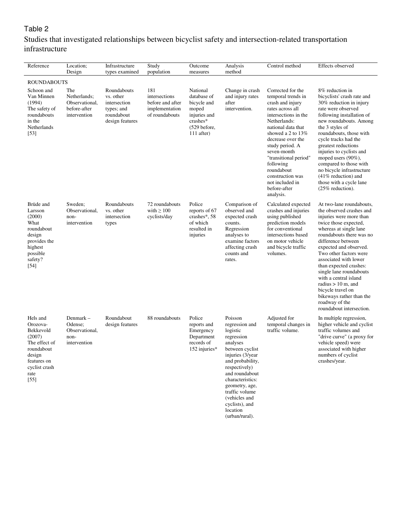### Table 2

### Studies that investigated relationships between bicyclist safety and intersection-related transportation infrastructure

| Reference                                                                                                                              | Location;<br>Design                                                   | Infrastructure<br>types examined                                                        | Study<br>population                                                          | Outcome<br>measures                                                                                         | Analysis<br>method                                                                                                                                                                                                                                                                     | Control method                                                                                                                                                                                                                                                                                                                                    | Effects observed                                                                                                                                                                                                                                                                                                                                                                                                                                                       |
|----------------------------------------------------------------------------------------------------------------------------------------|-----------------------------------------------------------------------|-----------------------------------------------------------------------------------------|------------------------------------------------------------------------------|-------------------------------------------------------------------------------------------------------------|----------------------------------------------------------------------------------------------------------------------------------------------------------------------------------------------------------------------------------------------------------------------------------------|---------------------------------------------------------------------------------------------------------------------------------------------------------------------------------------------------------------------------------------------------------------------------------------------------------------------------------------------------|------------------------------------------------------------------------------------------------------------------------------------------------------------------------------------------------------------------------------------------------------------------------------------------------------------------------------------------------------------------------------------------------------------------------------------------------------------------------|
| <b>ROUNDABOUTS</b>                                                                                                                     |                                                                       |                                                                                         |                                                                              |                                                                                                             |                                                                                                                                                                                                                                                                                        |                                                                                                                                                                                                                                                                                                                                                   |                                                                                                                                                                                                                                                                                                                                                                                                                                                                        |
| Schoon and<br>Van Minnen<br>(1994)<br>The safety of<br>roundabouts<br>in the<br>Netherlands<br>[53]                                    | The<br>Netherlands;<br>Observational,<br>before-after<br>intervention | Roundabouts<br>vs. other<br>intersection<br>types; and<br>roundabout<br>design features | 181<br>intersections<br>before and after<br>implementation<br>of roundabouts | National<br>database of<br>bicycle and<br>moped<br>injuries and<br>crashes*<br>(529 before,<br>$111$ after) | Change in crash<br>and injury rates<br>after<br>intervention.                                                                                                                                                                                                                          | Corrected for the<br>temporal trends in<br>crash and injury<br>rates across all<br>intersections in the<br>Netherlands:<br>national data that<br>showed a 2 to 13%<br>decrease over the<br>study period. A<br>seven-month<br>"transitional period"<br>following<br>roundabout<br>construction was<br>not included in<br>before-after<br>analysis. | 8% reduction in<br>bicyclists' crash rate and<br>30% reduction in injury<br>rate were observed<br>following installation of<br>new roundabouts. Among<br>the 3 styles of<br>roundabouts, those with<br>cycle tracks had the<br>greatest reductions<br>injuries to cyclists and<br>moped users (90%),<br>compared to those with<br>no bicycle infrastructure<br>$(41\%$ reduction) and<br>those with a cycle lane<br>$(25\% \text{ reduction}).$                        |
| Brüde and<br>Larsson<br>(2000)<br>What<br>roundabout<br>design<br>provides the<br>highest<br>possible<br>safety?<br>$[54]$             | Sweden:<br>Observational,<br>non-<br>intervention                     | Roundabouts<br>vs. other<br>intersection<br>types                                       | 72 roundabouts<br>with $\geq 100$<br>cyclists/day                            | Police<br>reports of 67<br>crashes*, 58<br>of which<br>resulted in<br>injuries                              | Comparison of<br>observed and<br>expected crash<br>counts.<br>Regression<br>analyses to<br>examine factors<br>affecting crash<br>counts and<br>rates.                                                                                                                                  | Calculated expected<br>crashes and injuries<br>using published<br>prediction models<br>for conventional<br>intersections based<br>on motor vehicle<br>and bicycle traffic<br>volumes.                                                                                                                                                             | At two-lane roundabouts,<br>the observed crashes and<br>injuries were more than<br>twice those expected,<br>whereas at single lane<br>roundabouts there was no<br>difference between<br>expected and observed.<br>Two other factors were<br>associated with lower<br>than expected crashes:<br>single lane roundabouts<br>with a central island<br>radius $> 10$ m, and<br>bicycle travel on<br>bikeways rather than the<br>roadway of the<br>roundabout intersection. |
| Hels and<br>Orozova-<br>Bekkevold<br>(2007)<br>The effect of<br>roundabout<br>design<br>features on<br>cyclist crash<br>rate<br>$[55]$ | Denmark -<br>Odense:<br>Observational,<br>non-<br>intervention        | Roundabout<br>design features                                                           | 88 roundabouts                                                               | Police<br>reports and<br>Emergency<br>Department<br>records of<br>$152$ injuries*                           | Poisson<br>regression and<br>logistic<br>regression<br>analyses<br>between cyclist<br>injuries (3/year<br>and probability,<br>respectively)<br>and roundabout<br>characteristics:<br>geometry, age,<br>traffic volume<br>(vehicles and<br>cyclists), and<br>location<br>(urban/rural). | Adjusted for<br>temporal changes in<br>traffic volume.                                                                                                                                                                                                                                                                                            | In multiple regression,<br>higher vehicle and cyclist<br>traffic volumes and<br>"drive curve" (a proxy for<br>vehicle speed) were<br>associated with higher<br>numbers of cyclist<br>crashes/year.                                                                                                                                                                                                                                                                     |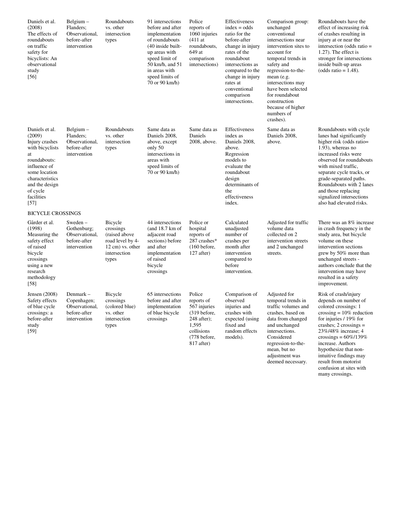| Daniels et al.<br>(2008)<br>The effects of<br>roundabouts<br>on traffic<br>safety for<br>bicyclists: An<br>observational<br>study<br>[56]                                                     | Belgium –<br>Flanders:<br>Observational,<br>before-after<br>intervention   | Roundabouts<br>vs. other<br>intersection<br>types                                                                  | 91 intersections<br>before and after<br>implementation<br>of roundabouts<br>(40 inside built-<br>up areas with<br>speed limit of<br>50 km/h, and 51<br>in areas with<br>speed limits of<br>70 or 90 km/h) | Police<br>reports of<br>1060 injuries<br>$(411$ at<br>roundabouts,<br>649 at<br>comparison<br>intersections)                  | Effectiveness<br>$index = odds$<br>ratio for the<br>before-after<br>change in injury<br>rates of the<br>roundabout<br>intersections as<br>compared to the<br>change in injury<br>rates at<br>conventional<br>comparison<br>intersections. | Comparison group:<br>unchanged<br>conventional<br>intersections near<br>intervention sites to<br>account for<br>temporal trends in<br>safety and<br>regression-to-the-<br>mean (e.g.<br>intersections may<br>have been selected<br>for roundabout<br>construction<br>because of higher<br>numbers of<br>crashes). | Roundabouts have the<br>effect of increasing risk<br>of crashes resulting in<br>injury at or near the<br>intersection (odds ratio =<br>$1.27$ ). The effect is<br>stronger for intersections<br>inside built-up areas<br>(odds ratio = $1.48$ ).                                                                                                   |
|-----------------------------------------------------------------------------------------------------------------------------------------------------------------------------------------------|----------------------------------------------------------------------------|--------------------------------------------------------------------------------------------------------------------|-----------------------------------------------------------------------------------------------------------------------------------------------------------------------------------------------------------|-------------------------------------------------------------------------------------------------------------------------------|-------------------------------------------------------------------------------------------------------------------------------------------------------------------------------------------------------------------------------------------|-------------------------------------------------------------------------------------------------------------------------------------------------------------------------------------------------------------------------------------------------------------------------------------------------------------------|----------------------------------------------------------------------------------------------------------------------------------------------------------------------------------------------------------------------------------------------------------------------------------------------------------------------------------------------------|
| Daniels et al.<br>(2009)<br>Injury crashes<br>with bicyclists<br>at<br>roundabouts:<br>influence of<br>some location<br>characteristics<br>and the design<br>of cycle<br>facilities<br>$[57]$ | Belgium –<br>Flanders:<br>Observational,<br>before-after<br>intervention   | Roundabouts<br>vs. other<br>intersection<br>types                                                                  | Same data as<br>Daniels 2008,<br>above, except<br>only 50<br>intersections in<br>areas with<br>speed limits of<br>70 or 90 km/h)                                                                          | Same data as<br>Daniels<br>2008, above.                                                                                       | Effectiveness<br>index as<br>Daniels 2008,<br>above.<br>Regression<br>models to<br>evaluate the<br>roundabout<br>design<br>determinants of<br>the<br>effectiveness<br>index.                                                              | Same data as<br>Daniels 2008,<br>above.                                                                                                                                                                                                                                                                           | Roundabouts with cycle<br>lanes had significantly<br>higher risk (odds ratio=<br>$1.93$ ), whereas no<br>increased risks were<br>observed for roundabouts<br>with mixed traffic,<br>separate cycle tracks, or<br>grade-separated paths.<br>Roundabouts with 2 lanes<br>and those replacing<br>signalized intersections<br>also had elevated risks. |
| <b>BICYCLE CROSSINGS</b>                                                                                                                                                                      |                                                                            |                                                                                                                    |                                                                                                                                                                                                           |                                                                                                                               |                                                                                                                                                                                                                                           |                                                                                                                                                                                                                                                                                                                   |                                                                                                                                                                                                                                                                                                                                                    |
| Gårder et al.<br>(1998)<br>Measuring the<br>safety effect<br>of raised<br>bicycle<br>crossings<br>using a new<br>research<br>methodology<br>[58]                                              | Sweden-<br>Gothenburg;<br>Observational,<br>before-after<br>intervention   | Bicycle<br>crossings<br>(raised above)<br>road level by 4-<br>$12 \text{ cm}$ ) vs. other<br>intersection<br>types | 44 intersections<br>(and 18.7 km of<br>adjacent road<br>sections) before<br>and after<br>implementation<br>of raised<br>bicycle<br>crossings                                                              | Police or<br>hospital<br>reports of<br>287 crashes*<br>$(160 \text{ before},$<br>$127$ after)                                 | Calculated<br>unadjusted<br>number of<br>crashes per<br>month after<br>intervention<br>compared to<br>before<br>intervention.                                                                                                             | Adjusted for traffic<br>volume data<br>collected on 2<br>intervention streets<br>and 2 unchanged<br>streets.                                                                                                                                                                                                      | There was an 8% increase<br>in crash frequency in the<br>study area, but bicycle<br>volume on these<br>intervention sections<br>grew by 50% more than<br>unchanged streets -<br>authors conclude that the<br>intervention may have<br>resulted in a safety<br>improvement.                                                                         |
| Jensen (2008)<br>Safety effects<br>of blue cycle<br>crossings: a<br>before-after<br>study<br>$[59]$                                                                                           | Denmark –<br>Copenhagen;<br>Observational,<br>before-after<br>intervention | Bicycle<br>crossings<br>(colored blue)<br>vs. other<br>intersection<br>types                                       | 65 intersections<br>before and after<br>implementation<br>of blue bicycle<br>crossings                                                                                                                    | Police<br>reports of<br>567 injuries<br>$(319)$ before,<br>$248$ after);<br>1,595<br>collisions<br>(778 before,<br>817 after) | Comparison of<br>observed<br>injuries and<br>crashes with<br>expected (using<br>fixed and<br>random effects<br>models).                                                                                                                   | Adjusted for<br>temporal trends in<br>traffic volumes and<br>crashes, based on<br>data from changed<br>and unchanged<br>intersections.<br>Considered<br>regression-to-the-<br>mean, but no<br>adjustment was<br>deemed necessary.                                                                                 | Risk of crash/injury<br>depends on number of<br>colored crossings: 1<br>crossing = $10\%$ reduction<br>for injuries / 19% for<br>crashes; $2$ crossings =<br>23%/48% increase; 4<br>crossings = $60\%/139\%$<br>increase. Authors<br>hypothesize that non-<br>intuitive findings may<br>result from motorist<br>confusion at sites with            |

many crossings.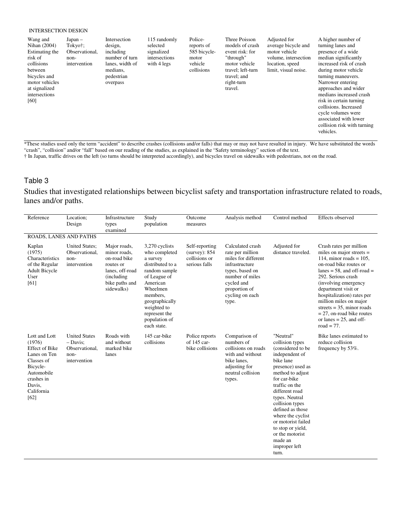#### INTERSECTION DESIGN

| Wang and<br>Nihan (2004)<br>Estimating the<br>risk of<br>collisions<br>between<br>bicycles and<br>motor vehicles<br>at signalized<br>intersections<br>[60] | $Japan -$<br>Tokyo†;<br>Observational.<br>non-<br>intervention | Intersection<br>design,<br>including<br>number of turn<br>lanes, width of<br>medians.<br>pedestrian<br>overpass | 115 randomly<br>selected<br>signalized<br>intersections<br>with 4 legs | Police-<br>reports of<br>585 bicycle-<br>motor<br>vehicle<br>collisions | Three Poisson<br>models of crash<br>event risk: for<br>"through"<br>motor vehicle<br>travel; left-turn<br>travel; and<br>right-turn<br>travel. | Adjusted for<br>average bicycle and<br>motor vehicle<br>volume, intersection<br>location, speed<br>limit, visual noise. | A higher number of<br>turning lanes and<br>presence of a wide<br>median significantly<br>increased risk of crash<br>during motor vehicle<br>turning maneuvers.<br>Narrower entering<br>approaches and wider<br>medians increased crash<br>risk in certain turning<br>collisions. Increased<br>cycle volumes were<br>associated with lower<br>collision risk with turning |
|------------------------------------------------------------------------------------------------------------------------------------------------------------|----------------------------------------------------------------|-----------------------------------------------------------------------------------------------------------------|------------------------------------------------------------------------|-------------------------------------------------------------------------|------------------------------------------------------------------------------------------------------------------------------------------------|-------------------------------------------------------------------------------------------------------------------------|--------------------------------------------------------------------------------------------------------------------------------------------------------------------------------------------------------------------------------------------------------------------------------------------------------------------------------------------------------------------------|
|                                                                                                                                                            |                                                                |                                                                                                                 |                                                                        |                                                                         |                                                                                                                                                |                                                                                                                         | vehicles.                                                                                                                                                                                                                                                                                                                                                                |

\*These studies used only the term "accident" to describe crashes (collisions and/or falls) that may or may not have resulted in injury. We have substituted the words "crash", "collision" and/or "fall" based on our reading of the studies, as explained in the "Safety terminology" section of the text.

† In Japan, traffic drives on the left (so turns should be interpreted accordingly), and bicycles travel on sidewalks with pedestrians, not on the road.

### Table 3

Studies that investigated relationships between bicyclist safety and transportation infrastructure related to roads, lanes and/or paths.

| Reference                                                                                                                                              | Location;<br>Design                                                          | Infrastructure<br>types<br>examined                                                                                         | Study<br>population                                                                                                                                                                                                    | Outcome<br>measures                                                 | Analysis method                                                                                                                                                                | Control method                                                                                                                                                                                                                                                                                                                                                  | Effects observed                                                                                                                                                                                                                                                                                                                                                                           |
|--------------------------------------------------------------------------------------------------------------------------------------------------------|------------------------------------------------------------------------------|-----------------------------------------------------------------------------------------------------------------------------|------------------------------------------------------------------------------------------------------------------------------------------------------------------------------------------------------------------------|---------------------------------------------------------------------|--------------------------------------------------------------------------------------------------------------------------------------------------------------------------------|-----------------------------------------------------------------------------------------------------------------------------------------------------------------------------------------------------------------------------------------------------------------------------------------------------------------------------------------------------------------|--------------------------------------------------------------------------------------------------------------------------------------------------------------------------------------------------------------------------------------------------------------------------------------------------------------------------------------------------------------------------------------------|
| ROADS, LANES AND PATHS                                                                                                                                 |                                                                              |                                                                                                                             |                                                                                                                                                                                                                        |                                                                     |                                                                                                                                                                                |                                                                                                                                                                                                                                                                                                                                                                 |                                                                                                                                                                                                                                                                                                                                                                                            |
| Kaplan<br>(1975)<br>Characteristics<br>of the Regular<br><b>Adult Bicycle</b><br>User<br>[61]                                                          | <b>United States:</b><br>Observational,<br>non-<br>intervention              | Major roads,<br>minor roads,<br>on-road bike<br>routes or<br>lanes, off-road<br>(including)<br>bike paths and<br>sidewalks) | 3,270 cyclists<br>who completed<br>a survey<br>distributed to a<br>random sample<br>of League of<br>American<br>Wheelmen<br>members.<br>geographically<br>weighted to<br>represent the<br>population of<br>each state. | Self-reporting<br>$(surve)$ : 854<br>collisions or<br>serious falls | Calculated crash<br>rate per million<br>miles for different<br>infrastructure<br>types, based on<br>number of miles<br>cycled and<br>proportion of<br>cycling on each<br>type. | Adjusted for<br>distance traveled.                                                                                                                                                                                                                                                                                                                              | Crash rates per million<br>miles on major streets $=$<br>114, minor roads = $105$ ,<br>on-road bike routes or<br>lanes = $58$ , and off-road =<br>292. Serious crash<br>(involving emergency<br>department visit or<br>hospitalization) rates per<br>million miles on major<br>streets = $35$ , minor roads<br>$= 27$ , on-road bike routes<br>or lanes $= 25$ , and off-<br>road = $77$ . |
| Lott and Lott<br>(1976)<br><b>Effect of Bike</b><br>Lanes on Ten<br>Classes of<br>Bicycle-<br>Automobile<br>crashes in<br>Davis.<br>California<br>[62] | <b>United States</b><br>$-$ Davis:<br>Observational,<br>non-<br>intervention | Roads with<br>and without<br>marked bike<br>lanes                                                                           | 145 car-bike<br>collisions                                                                                                                                                                                             | Police reports<br>of 145 car-<br>bike collisions                    | Comparison of<br>numbers of<br>collisions on roads<br>with and without<br>bike lanes,<br>adjusting for<br>neutral collision<br>types.                                          | "Neutral"<br>collision types<br>(considered to be)<br>independent of<br>bike lane<br>presence) used as<br>method to adjust<br>for car-bike<br>traffic on the<br>different road<br>types. Neutral<br>collision types<br>defined as those<br>where the cyclist<br>or motorist failed<br>to stop or yield,<br>or the motorist<br>made an<br>improper left<br>turn. | Bike lanes estimated to<br>reduce collision<br>frequency by 53%.                                                                                                                                                                                                                                                                                                                           |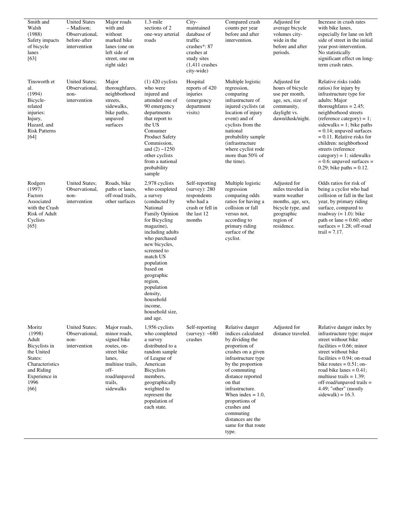| Smith and<br>Walsh<br>(1988)<br>Safety impacts<br>of bicycle<br>lanes<br>$[63]$                                                       | <b>United States</b><br>- Madison;<br>Observational,<br>before-after<br>intervention | Major roads<br>with and<br>without<br>marked bike<br>lanes (one on<br>left side of<br>street, one on<br>right side)                                     | $1.3$ -mile<br>sections of 2<br>one-way arterial<br>roads                                                                                                                                                                                                                                                                                       | City-<br>maintained<br>database of<br>traffic<br>crashes*: 87<br>crashes at<br>study sites<br>$(1,411 \text{ crashes})$<br>city-wide) | Compared crash<br>counts per year<br>before and after<br>intervention.                                                                                                                                                                                                                                                                    | Adjusted for<br>average bicycle<br>volumes city-<br>wide in the<br>before and after<br>periods.                                      | Increase in crash rates<br>with bike lanes,<br>especially for lane on left<br>side of street in the initial<br>year post-intervention.<br>No statistically<br>significant effect on long-<br>term crash rates.                                                                                                                                                                                                            |
|---------------------------------------------------------------------------------------------------------------------------------------|--------------------------------------------------------------------------------------|---------------------------------------------------------------------------------------------------------------------------------------------------------|-------------------------------------------------------------------------------------------------------------------------------------------------------------------------------------------------------------------------------------------------------------------------------------------------------------------------------------------------|---------------------------------------------------------------------------------------------------------------------------------------|-------------------------------------------------------------------------------------------------------------------------------------------------------------------------------------------------------------------------------------------------------------------------------------------------------------------------------------------|--------------------------------------------------------------------------------------------------------------------------------------|---------------------------------------------------------------------------------------------------------------------------------------------------------------------------------------------------------------------------------------------------------------------------------------------------------------------------------------------------------------------------------------------------------------------------|
| Tinsworth et<br>al.<br>(1994)<br>Bicycle-<br>related<br>injuries:<br>Injury,<br>Hazard, and<br><b>Risk Patterns</b><br>[64]           | <b>United States:</b><br>Observational,<br>non-<br>intervention                      | Major<br>thoroughfares,<br>neighborhood<br>streets,<br>sidewalks,<br>bike paths,<br>unpaved<br>surfaces                                                 | $(1)$ 420 cyclists<br>who were<br>injured and<br>attended one of<br>90 emergency<br>departments<br>that report to<br>the US<br>Consumer<br><b>Product Safety</b><br>Commission,<br>and $(2)$ ~1250<br>other cyclists<br>from a national<br>probability<br>sample                                                                                | Hospital<br>reports of 420<br>injuries<br>(emergency)<br>department<br>visits)                                                        | Multiple logistic<br>regression,<br>comparing<br>infrastructure of<br>injured cyclists (at<br>location of injury<br>event) and of<br>cyclists from the<br>national<br>probability sample<br><i>(infrastructure)</i><br>where cyclist rode<br>more than 50% of<br>the time).                                                               | Adjusted for<br>hours of bicycle<br>use per month,<br>age, sex, size of<br>community,<br>daylight vs.<br>dawn/dusk/night.            | Relative risks (odds<br>ratios) for injury by<br>infrastructure type for<br>adults: Major<br>thoroughfares $= 2.45$ ;<br>neighborhood streets<br>$(reference category) = 1;$<br>sidewalks = 1; bike paths<br>$= 0.14$ ; unpaved surfaces<br>$= 0.11$ . Relative risks for<br>children: neighborhood<br>streets (reference<br>$category) = 1$ ; sidewalks<br>$= 0.6$ ; unpaved surfaces $=$<br>0.29; bike paths = $0.12$ . |
| Rodgers<br>(1997)<br>Factors<br>Associated<br>with the Crash<br>Risk of Adult<br>Cyclists<br>[65]                                     | <b>United States;</b><br>Observational,<br>non-<br>intervention                      | Roads, bike<br>paths or lanes,<br>off-road trails,<br>other surfaces                                                                                    | 2,978 cyclists<br>who completed<br>a survey<br>(conducted by)<br>National<br>Family Opinion<br>for Bicycling<br>magazine),<br>including adults<br>who purchased<br>new bicycles,<br>screened to<br>match US<br>population<br>based on<br>geographic<br>region,<br>population<br>density,<br>household<br>income,<br>household size,<br>and age. | Self-reporting<br>$(surve)$ : 280<br>respondents<br>who had a<br>crash or fell in<br>the last 12<br>months                            | Multiple logistic<br>regression<br>comparing odds<br>ratios for having a<br>collision or fall<br>versus not,<br>according to<br>primary riding<br>surface of the<br>cyclist.                                                                                                                                                              | Adjusted for<br>miles traveled in<br>warm weather<br>months, age, sex,<br>bicycle type, and<br>geographic<br>region of<br>residence. | Odds ratios for risk of<br>being a cyclist who had<br>collision or fall in the last<br>year, by primary riding<br>surface, compared to<br>roadway $(= 1.0)$ : bike<br>path or lane = $0.60$ ; other<br>surfaces $= 1.28$ ; off-road<br>trail = $7.17$ .                                                                                                                                                                   |
| Moritz<br>(1998)<br>Adult<br>Bicyclists in<br>the United<br>States:<br>Characteristics<br>and Riding<br>Experience in<br>1996<br>[66] | <b>United States;</b><br>Observational,<br>non-<br>intervention                      | Major roads,<br>minor roads,<br>signed bike<br>routes, on-<br>street bike<br>lanes,<br>multiuse trails,<br>off-<br>road/unpaved<br>trails,<br>sidewalks | 1,956 cyclists<br>who completed<br>a survey<br>distributed to a<br>random sample<br>of League of<br>American<br><b>Bicyclists</b><br>members,<br>geographically<br>weighted to<br>represent the<br>population of<br>each state.                                                                                                                 | Self-reporting<br>$(surve)$ : ~680<br>crashes                                                                                         | Relative danger<br>indices calculated<br>by dividing the<br>proportion of<br>crashes on a given<br>infrastructure type<br>by the proportion<br>of commuting<br>distance reported<br>on that<br>infrastructure.<br>When index $= 1.0$ ,<br>proportions of<br>crashes and<br>commuting<br>distances are the<br>same for that route<br>type. | Adjusted for<br>distance traveled.                                                                                                   | Relative danger index by<br>infrastructure type: major<br>street without bike<br>facilities $= 0.66$ ; minor<br>street without bike<br>facilities $= 0.94$ ; on-road<br>bike routes $= 0.51$ ; on-<br>road bike lanes $= 0.41$ ;<br>multiuse trails $= 1.39$ ;<br>$off$ -road/unpaved trails =<br>4.49; "other" (mostly<br>sidewalk) = $16.3$ .                                                                           |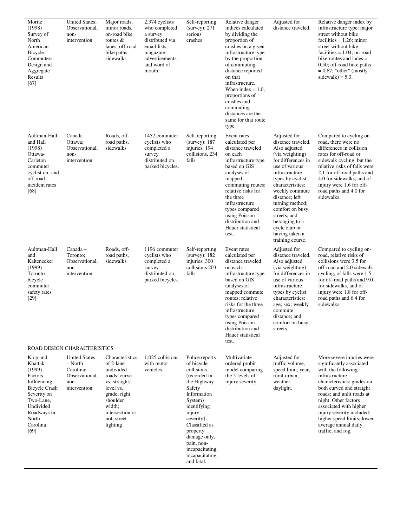| Moritz<br>(1998)<br>Survey of<br>North<br>American<br>Bicycle<br>Commuters:<br>Design and<br>Aggregate<br>Results<br>[67]                                            | <b>United States;</b><br>Observational,<br>non-<br>intervention                        | Major roads,<br>minor roads,<br>on-road bike<br>routes $&$<br>lanes, off-road<br>bike paths,<br>sidewalks                                                                   | 2,374 cyclists<br>who completed<br>a survey<br>distributed via<br>email lists,<br>magazine<br>advertisements,<br>and word of<br>mouth. | Self-reporting<br>$(surve)$ : 271<br>serious<br>crashes                                                                                                                                                                                                             | Relative danger<br>indices calculated<br>by dividing the<br>proportion of<br>crashes on a given<br>infrastructure type<br>by the proportion<br>of commuting<br>distance reported<br>on that<br>infrastructure.<br>When index $= 1.0$ ,<br>proportions of<br>crashes and<br>commuting<br>distances are the<br>same for that route<br>type. | Adjusted for<br>distance traveled.                                                                                                                                                                                                                                                                                                          | Relative danger index by<br>infrastructure type: major<br>street without bike<br>facilities $= 1.26$ ; minor<br>street without bike<br>facilities $= 1.04$ ; on-road<br>bike routes and lanes $=$<br>0.50; off-road bike paths<br>$= 0.67$ ; "other" (mostly<br>sidewalk) = $5.3$ .                                                            |
|----------------------------------------------------------------------------------------------------------------------------------------------------------------------|----------------------------------------------------------------------------------------|-----------------------------------------------------------------------------------------------------------------------------------------------------------------------------|----------------------------------------------------------------------------------------------------------------------------------------|---------------------------------------------------------------------------------------------------------------------------------------------------------------------------------------------------------------------------------------------------------------------|-------------------------------------------------------------------------------------------------------------------------------------------------------------------------------------------------------------------------------------------------------------------------------------------------------------------------------------------|---------------------------------------------------------------------------------------------------------------------------------------------------------------------------------------------------------------------------------------------------------------------------------------------------------------------------------------------|------------------------------------------------------------------------------------------------------------------------------------------------------------------------------------------------------------------------------------------------------------------------------------------------------------------------------------------------|
| Aultman-Hall<br>and Hall<br>(1998)<br>Ottawa-<br>Carleton<br>commuter<br>cyclist on- and<br>off-road<br>incident rates<br>[68]                                       | Canada –<br>Ottawa:<br>Observational,<br>non-<br>intervention                          | Roads, off-<br>road paths,<br>sidewalks                                                                                                                                     | 1452 commuter<br>cyclists who<br>completed a<br>survey<br>distributed on<br>parked bicycles.                                           | Self-reporting<br>$(surve)$ : 187<br>injuries, 194<br>collisions, 234<br>falls                                                                                                                                                                                      | Event rates<br>calculated per<br>distance traveled<br>on each<br>infrastructure type<br>based on GIS<br>analyses of<br>mapped<br>commuting routes;<br>relative risks for<br>the three<br>infrastructure<br>types compared<br>using Poisson<br>distribution and<br>Hauer statistical<br>test.                                              | Adjusted for<br>distance traveled.<br>Also adjusted<br>(via weighting)<br>for differences in<br>use of various<br>infrastructure<br>types by cyclist<br>characteristics:<br>weekly commute<br>distance; left<br>turning method;<br>comfort on busy<br>streets; and<br>belonging to a<br>cycle club or<br>having taken a<br>training course. | Compared to cycling on-<br>road, there were no<br>differences in collision<br>rates for off-road or<br>sidewalk cycling, but the<br>relative risks of falls were<br>2.1 for off-road paths and<br>4.0 for sidewalks, and of<br>injury were 1.6 for off-<br>road paths and 4.0 for<br>sidewalks.                                                |
| Aultman-Hall<br>and<br>Kaltenecker<br>(1999)<br>Toronto<br>bicycle<br>commuter<br>safety rates<br>[29]                                                               | Canada -<br>Toronto;<br>Observational,<br>non-<br>intervention                         | Roads, off-<br>road paths,<br>sidewalks                                                                                                                                     | 1196 commuter<br>cyclists who<br>completed a<br>survey<br>distributed on<br>parked bicycles.                                           | Self-reporting<br>$(surve)$ : 182<br>injuries, 300<br>collisions 203<br>falls                                                                                                                                                                                       | Event rates<br>calculated per<br>distance traveled<br>on each<br>infrastructure type<br>based on GIS<br>analyses of<br>mapped commute<br>routes; relative<br>risks for the three<br>infrastructure<br>types compared<br>using Poisson<br>distribution and<br>Hauer statistical<br>test.                                                   | Adjusted for<br>distance traveled.<br>Also adjusted<br>(via weighting)<br>for differences in<br>use of various<br>infrastructure<br>types by cyclist<br>characteristics:<br>age; sex; weekly<br>commute<br>distance; and<br>comfort on busy<br>streets.                                                                                     | Compared to cycling on-<br>road, relative risks of<br>collisions were 3.5 for<br>off-road and 2.0 sidewalk<br>cycling, of falls were 1.5<br>for off-road paths and 9.0<br>for sidewalks, and of<br>injury were 1.8 for off-<br>road paths and 6.4 for<br>sidewalks.                                                                            |
|                                                                                                                                                                      | ROAD DESIGN CHARACTERISTICS                                                            |                                                                                                                                                                             |                                                                                                                                        |                                                                                                                                                                                                                                                                     |                                                                                                                                                                                                                                                                                                                                           |                                                                                                                                                                                                                                                                                                                                             |                                                                                                                                                                                                                                                                                                                                                |
| Klop and<br>Khattak<br>(1999)<br>Factors<br>Influencing<br><b>Bicycle Crash</b><br>Severity on<br>Two-Lane,<br>Undivided<br>Roadways in<br>North<br>Carolina<br>[69] | <b>United States</b><br>– North<br>Carolina;<br>Observational,<br>non-<br>intervention | Characteristics<br>of 2-lane<br>undivided<br>roads: curve<br>vs. straight;<br>level vs.<br>grade; right<br>shoulder<br>width;<br>intersection or<br>not; street<br>lighting | 1.025 collisions<br>with motor<br>vehicles.                                                                                            | Police reports<br>of bicycle<br>collisions<br>(recorded in<br>the Highway<br>Safety<br>Information<br>System)<br>identifying<br>injury<br>severity†.<br>Classified as<br>property<br>damage only,<br>pain, non-<br>incapacitating,<br>incapacitating,<br>and fatal. | Multivariate<br>ordered probit<br>model comparing<br>the 5 levels of<br>injury severity.                                                                                                                                                                                                                                                  | Adjusted for<br>traffic volume,<br>speed limit, year,<br>rural-urban,<br>weather.<br>daylight.                                                                                                                                                                                                                                              | More severe injuries were<br>significantly associated<br>with the following<br>infrastructure<br>characteristics: grades on<br>both curved and straight<br>roads; and unlit roads at<br>night. Other factors<br>associated with higher<br>injury severity included:<br>higher speed limits; lower<br>average annual daily<br>traffic; and fog. |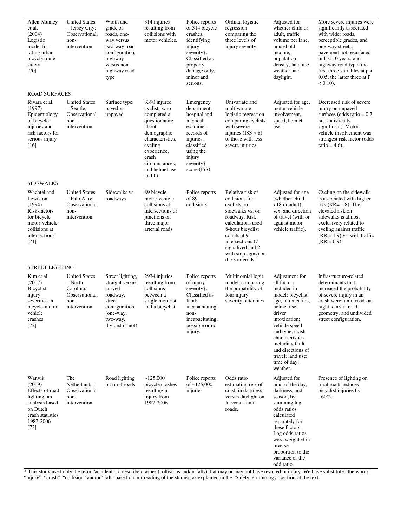| Allen-Munley<br>et al.<br>(2004)<br>Logistic<br>model for<br>rating urban<br>bicycle route<br>safety<br>$[70]$                | <b>United States</b><br>- Jersey City;<br>Observational,<br>non-<br>intervention         | Width and<br>grade of<br>roads, one-<br>way versus<br>two-way road<br>configuration,<br>highway<br>versus non-<br>highway road<br>type | 314 injuries<br>resulting from<br>collisions with<br>motor vehicles.                                                                                                                        | Police reports<br>of 314 bicycle<br>crashes.<br>identifying<br>injury<br>severity†.<br>Classified as<br>property<br>damage only,<br>minor and<br>serious.   | Ordinal logistic<br>regression<br>comparing the<br>three levels of<br>injury severity.                                                                                                                                             | Adjusted for<br>whether child or<br>adult, traffic<br>volume per lane,<br>household<br>income.<br>population<br>density, land use,<br>weather, and<br>daylight.                                                                                                                  | More severe injuries were<br>significantly associated<br>with wider roads,<br>perceptible grades, and<br>one-way streets,<br>pavement not resurfaced<br>in last 10 years, and<br>highway road type (the<br>first three variables at $p <$<br>0.05, the latter three at P<br>$< 0.10$ ). |
|-------------------------------------------------------------------------------------------------------------------------------|------------------------------------------------------------------------------------------|----------------------------------------------------------------------------------------------------------------------------------------|---------------------------------------------------------------------------------------------------------------------------------------------------------------------------------------------|-------------------------------------------------------------------------------------------------------------------------------------------------------------|------------------------------------------------------------------------------------------------------------------------------------------------------------------------------------------------------------------------------------|----------------------------------------------------------------------------------------------------------------------------------------------------------------------------------------------------------------------------------------------------------------------------------|-----------------------------------------------------------------------------------------------------------------------------------------------------------------------------------------------------------------------------------------------------------------------------------------|
| <b>ROAD SURFACES</b>                                                                                                          |                                                                                          |                                                                                                                                        |                                                                                                                                                                                             |                                                                                                                                                             |                                                                                                                                                                                                                                    |                                                                                                                                                                                                                                                                                  |                                                                                                                                                                                                                                                                                         |
| Rivara et al.<br>(1997)<br>Epidemiology<br>of bicycle<br>injuries and<br>risk factors for<br>serious injury<br>$[16]$         | <b>United States</b><br>$-$ Seattle;<br>Observational,<br>non-<br>intervention           | Surface type:<br>paved vs.<br>unpaved                                                                                                  | 3390 injured<br>cyclists who<br>completed a<br>questionnaire<br>about<br>demographic<br>characteristics,<br>cycling<br>experience,<br>crash<br>circumstances.<br>and helmet use<br>and fit. | Emergency<br>department,<br>hospital and<br>medical<br>examiner<br>records of<br>injuries,<br>classified<br>using the<br>injury<br>severity†<br>score (ISS) | Univariate and<br>multivariate<br>logistic regression<br>comparing cyclists<br>with severe<br>injuries $(ISS > 8)$<br>to those with less<br>severe injuries.                                                                       | Adjusted for age,<br>motor vehicle<br>involvement,<br>speed, helmet<br>use.                                                                                                                                                                                                      | Decreased risk of severe<br>injury on unpaved<br>surfaces (odds ratio = $0.7$ ,<br>not statistically<br>significant). Motor<br>vehicle involvement was<br>strongest risk factor (odds<br>ratio = $4.6$ ).                                                                               |
| <b>SIDEWALKS</b>                                                                                                              |                                                                                          |                                                                                                                                        |                                                                                                                                                                                             |                                                                                                                                                             |                                                                                                                                                                                                                                    |                                                                                                                                                                                                                                                                                  |                                                                                                                                                                                                                                                                                         |
| Wachtel and<br>Lewiston<br>(1994)<br>Risk-factors<br>for bicycle<br>motor-vehicle<br>collisions at<br>intersections<br>$[71]$ | <b>United States</b><br>- Palo Alto;<br>Observational,<br>non-<br>intervention           | Sidewalks vs.<br>roadways                                                                                                              | 89 bicycle-<br>motor vehicle<br>collisions at<br>intersections or<br>junctions on<br>three major<br>arterial roads.                                                                         | Police reports<br>of 89<br>collisions                                                                                                                       | Relative risk of<br>collisions for<br>cyclists on<br>sidewalks vs. on<br>roadway. Risk<br>calculations used<br>8-hour bicyclist<br>counts at 9<br>intersections (7)<br>signalized and 2<br>with stop signs) on<br>the 3 arterials. | Adjusted for age<br>(whether child<br>$<$ 18 or adult).<br>sex, and direction<br>of travel (with or<br>against motor<br>vehicle traffic).                                                                                                                                        | Cycling on the sidewalk<br>is associated with higher<br>risk (RR= $1.8$ ). The<br>elevated risk on<br>sidewalks is almost<br>exclusively related to<br>cycling against traffic<br>$(RR = 1.9)$ vs. with traffic<br>$(RR = 0.9)$ .                                                       |
| <b>STREET LIGHTING</b>                                                                                                        |                                                                                          |                                                                                                                                        |                                                                                                                                                                                             |                                                                                                                                                             |                                                                                                                                                                                                                                    |                                                                                                                                                                                                                                                                                  |                                                                                                                                                                                                                                                                                         |
| Kim et al.<br>(2007)<br>Bicyclist<br>injury<br>severities in<br>bicycle-motor<br>vehicle<br>crashes<br>$[72]$                 | <b>United States</b><br>$-$ North<br>Carolina;<br>Observational,<br>non-<br>intervention | Street lighting,<br>straight versus<br>curved<br>roadway,<br>street<br>configuration<br>(one-way,<br>two-way,<br>divided or not)       | 2934 injuries<br>resulting from<br>collisions<br>between a<br>single motorist<br>and a bicyclist.                                                                                           | Police reports<br>of injury<br>severity†.<br>Classified as<br>fatal;<br>incapacitating;<br>non-<br>incapacitating;<br>possible or no<br>injury.             | Multinomial logit<br>model, comparing<br>the probability of<br>four injury<br>severity outcomes                                                                                                                                    | Adjustment for<br>all factors<br>included in<br>model: bicyclist<br>age, intoxication,<br>helmet use;<br>driver<br>intoxication;<br>vehicle speed<br>and type; crash<br>characteristics<br>including fault<br>and directions of<br>travel; land use;<br>time of day;<br>weather. | Infrastructure-related<br>determinants that<br>increased the probability<br>of severe injury in an<br>crash were: unlit roads at<br>night; curved road<br>geometry; and undivided<br>street configuration.                                                                              |
| Wanvik<br>(2009)<br>Effects of road<br>lighting: an<br>analysis based<br>on Dutch<br>crash statistics<br>1987-2006<br>$[73]$  | The<br>Netherlands;<br>Observational,<br>non-<br>intervention                            | Road lighting<br>on rural roads                                                                                                        | ~125,000<br>bicycle crashes<br>resulting in<br>injury from<br>1987-2006.                                                                                                                    | Police reports<br>of $~125,000$<br>injuries                                                                                                                 | Odds ratio<br>estimating risk of<br>crash in darkness<br>versus daylight on<br>lit versus unlit<br>roads.                                                                                                                          | Adjusted for<br>hour of the day,<br>darkness, and<br>season, by<br>summing log<br>odds ratios<br>calculated<br>separately for<br>these factors.<br>Log odds ratios<br>were weighted in<br>inverse<br>proportion to the<br>variance of the<br>odd ratio.                          | Presence of lighting on<br>rural roads reduces<br>bicyclist injuries by<br>~60%.                                                                                                                                                                                                        |

\* This study used only the term "accident" to describe crashes (collisions and/or falls) that may or may not have resulted in injury. We have substituted the words "injury", "crash", "collision" and/or "fall" based on our reading of the studies, as explained in the "Safety terminology" section of the text.